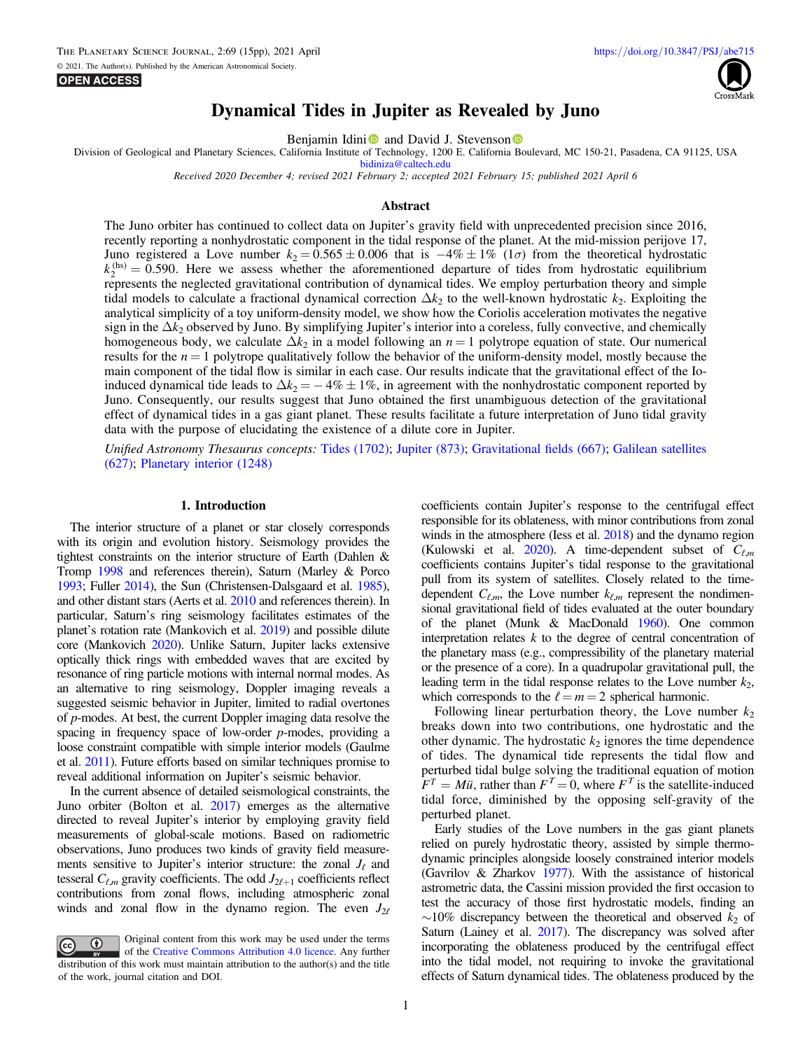**OPEN ACCESS** 



# Dynamical Tides in Jupiter as Revealed by Juno

Benjam[i](https://orcid.org/0000-0002-2697-3893)[n](https://orcid.org/0000-0001-9432-7159) Idini **D** and David J. Stevenson **D** 

Division of Geological and Planetary Sciences, California Institute of Technology, 1200 E. California Boulevard, MC 150-21, Pasadena, CA 91125, USA

[bidiniza@caltech.edu](mailto:bidiniza@caltech.edu)

Received 2020 December 4; revised 2021 February 2; accepted 2021 February 15; published 2021 April 6

## Abstract

The Juno orbiter has continued to collect data on Jupiter's gravity field with unprecedented precision since 2016, recently reporting a nonhydrostatic component in the tidal response of the planet. At the mid-mission perijove 17, Juno registered a Love number  $k_2 = 0.565 \pm 0.006$  that is  $-4\% \pm 1\%$  (1 $\sigma$ ) from the theoretical hydrostatic  $k_2^{\text{(hs)}} = 0.590$ . Here we assess whether the aforementioned departure of tides from hydrostatic equilibrium represents the neglected gravitational contribution of dynamical tides. We employ perturbation theory and simple tidal models to calculate a fractional dynamical correction  $\Delta k_2$  to the well-known hydrostatic  $k_2$ . Exploiting the analytical simplicity of a toy uniform-density model, we show how the Coriolis acceleration motivates the negative sign in the  $\Delta k_2$  observed by Juno. By simplifying Jupiter's interior into a coreless, fully convective, and chemically homogeneous body, we calculate  $\Delta k_2$  in a model following an  $n = 1$  polytrope equation of state. Our numerical results for the  $n = 1$  polytrope qualitatively follow the behavior of the uniform-density model, mostly because the main component of the tidal flow is similar in each case. Our results indicate that the gravitational effect of the Ioinduced dynamical tide leads to  $\Delta k_2 = -4\% \pm 1\%$ , in agreement with the nonhydrostatic component reported by Juno. Consequently, our results suggest that Juno obtained the first unambiguous detection of the gravitational effect of dynamical tides in a gas giant planet. These results facilitate a future interpretation of Juno tidal gravity data with the purpose of elucidating the existence of a dilute core in Jupiter.

Unified Astronomy Thesaurus concepts: [Tides](http://astrothesaurus.org/uat/1702) (1702); [Jupiter](http://astrothesaurus.org/uat/873) (873); [Gravitational](http://astrothesaurus.org/uat/667) fields (667); [Galilean satellites](http://astrothesaurus.org/uat/627) ([627](http://astrothesaurus.org/uat/627)); [Planetary interior](http://astrothesaurus.org/uat/1248) (1248)

#### 1. Introduction

The interior structure of a planet or star closely corresponds with its origin and evolution history. Seismology provides the tightest constraints on the interior structure of Earth (Dahlen & Tromp [1998](#page-14-0) and references therein), Saturn (Marley & Porco [1993](#page-14-0); Fuller [2014](#page-14-0)), the Sun (Christensen-Dalsgaard et al. [1985](#page-14-0)), and other distant stars (Aerts et al. [2010](#page-14-0) and references therein). In particular, Saturn's ring seismology facilitates estimates of the planet's rotation rate (Mankovich et al. [2019](#page-14-0)) and possible dilute core (Mankovich [2020](#page-14-0)). Unlike Saturn, Jupiter lacks extensive optically thick rings with embedded waves that are excited by resonance of ring particle motions with internal normal modes. As an alternative to ring seismology, Doppler imaging reveals a suggested seismic behavior in Jupiter, limited to radial overtones of p-modes. At best, the current Doppler imaging data resolve the spacing in frequency space of low-order  $p$ -modes, providing a loose constraint compatible with simple interior models (Gaulme et al. [2011](#page-14-0)). Future efforts based on similar techniques promise to reveal additional information on Jupiter's seismic behavior.

In the current absence of detailed seismological constraints, the Juno orbiter (Bolton et al. [2017](#page-14-0)) emerges as the alternative directed to reveal Jupiter's interior by employing gravity field measurements of global-scale motions. Based on radiometric observations, Juno produces two kinds of gravity field measurements sensitive to Jupiter's interior structure: the zonal  $J_{\ell}$  and tesseral  $C_{\ell,m}$  gravity coefficients. The odd  $J_{2\ell+1}$  coefficients reflect contributions from zonal flows, including atmospheric zonal winds and zonal flow in the dynamo region. The even  $J_{2\ell}$ 



coefficients contain Jupiter's response to the centrifugal effect responsible for its oblateness, with minor contributions from zonal winds in the atmosphere (Iess et al. [2018](#page-14-0)) and the dynamo region (Kulowski et al. [2020](#page-14-0)). A time-dependent subset of  $C_{\ell,m}$ coefficients contains Jupiter's tidal response to the gravitational pull from its system of satellites. Closely related to the timedependent  $C_{\ell,m}$ , the Love number  $k_{\ell,m}$  represent the nondimensional gravitational field of tides evaluated at the outer boundary of the planet (Munk & MacDonald [1960](#page-14-0)). One common interpretation relates  $k$  to the degree of central concentration of the planetary mass (e.g., compressibility of the planetary material or the presence of a core). In a quadrupolar gravitational pull, the leading term in the tidal response relates to the Love number  $k_2$ , which corresponds to the  $\ell = m = 2$  spherical harmonic.

Following linear perturbation theory, the Love number  $k_2$ breaks down into two contributions, one hydrostatic and the other dynamic. The hydrostatic  $k_2$  ignores the time dependence of tides. The dynamical tide represents the tidal flow and perturbed tidal bulge solving the traditional equation of motion  $F^T = M\ddot{u}$ , rather than  $F^T = 0$ , where  $F^T$  is the satellite-induced tidal force, diminished by the opposing self-gravity of the perturbed planet.

Early studies of the Love numbers in the gas giant planets relied on purely hydrostatic theory, assisted by simple thermodynamic principles alongside loosely constrained interior models (Gavrilov & Zharkov [1977](#page-14-0)). With the assistance of historical astrometric data, the Cassini mission provided the first occasion to test the accuracy of those first hydrostatic models, finding an  $∼10\%$  discrepancy between the theoretical and observed  $k_2$  of Saturn (Lainey et al. [2017](#page-14-0)). The discrepancy was solved after incorporating the oblateness produced by the centrifugal effect into the tidal model, not requiring to invoke the gravitational effects of Saturn dynamical tides. The oblateness produced by the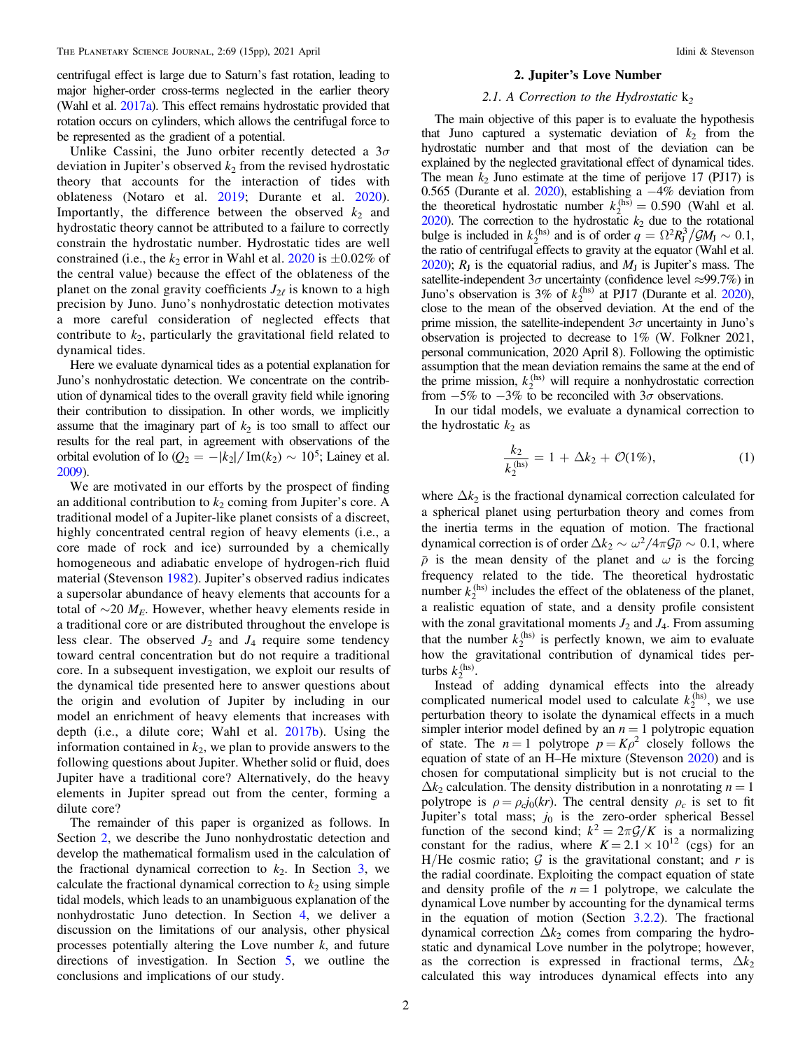<span id="page-1-0"></span>centrifugal effect is large due to Saturn's fast rotation, leading to major higher-order cross-terms neglected in the earlier theory (Wahl et al. [2017a](#page-14-0)). This effect remains hydrostatic provided that rotation occurs on cylinders, which allows the centrifugal force to be represented as the gradient of a potential.

Unlike Cassini, the Juno orbiter recently detected a  $3\sigma$ deviation in Jupiter's observed  $k_2$  from the revised hydrostatic theory that accounts for the interaction of tides with oblateness (Notaro et al. [2019;](#page-14-0) Durante et al. [2020](#page-14-0)). Importantly, the difference between the observed  $k_2$  and hydrostatic theory cannot be attributed to a failure to correctly constrain the hydrostatic number. Hydrostatic tides are well constrained (i.e., the  $k_2$  error in Wahl et al. [2020](#page-14-0) is  $\pm 0.02\%$  of the central value) because the effect of the oblateness of the planet on the zonal gravity coefficients  $J_{2\ell}$  is known to a high precision by Juno. Juno's nonhydrostatic detection motivates a more careful consideration of neglected effects that contribute to  $k_2$ , particularly the gravitational field related to dynamical tides.

Here we evaluate dynamical tides as a potential explanation for Juno's nonhydrostatic detection. We concentrate on the contribution of dynamical tides to the overall gravity field while ignoring their contribution to dissipation. In other words, we implicitly assume that the imaginary part of  $k_2$  is too small to affect our results for the real part, in agreement with observations of the orbital evolution of Io ( $Q_2 = - |k_2| / \text{Im}(k_2) \sim 10^5$ ; Lainey et al. [2009](#page-14-0)).

We are motivated in our efforts by the prospect of finding an additional contribution to  $k_2$  coming from Jupiter's core. A traditional model of a Jupiter-like planet consists of a discreet, highly concentrated central region of heavy elements (i.e., a core made of rock and ice) surrounded by a chemically homogeneous and adiabatic envelope of hydrogen-rich fluid material (Stevenson [1982](#page-14-0)). Jupiter's observed radius indicates a supersolar abundance of heavy elements that accounts for a total of  $\sim$ 20  $M_E$ . However, whether heavy elements reside in a traditional core or are distributed throughout the envelope is less clear. The observed  $J_2$  and  $J_4$  require some tendency toward central concentration but do not require a traditional core. In a subsequent investigation, we exploit our results of the dynamical tide presented here to answer questions about the origin and evolution of Jupiter by including in our model an enrichment of heavy elements that increases with depth (i.e., a dilute core; Wahl et al. [2017b](#page-14-0)). Using the information contained in  $k_2$ , we plan to provide answers to the following questions about Jupiter. Whether solid or fluid, does Jupiter have a traditional core? Alternatively, do the heavy elements in Jupiter spread out from the center, forming a dilute core?

The remainder of this paper is organized as follows. In Section 2, we describe the Juno nonhydrostatic detection and develop the mathematical formalism used in the calculation of the fractional dynamical correction to  $k_2$ . In Section [3,](#page-3-0) we calculate the fractional dynamical correction to  $k<sub>2</sub>$  using simple tidal models, which leads to an unambiguous explanation of the nonhydrostatic Juno detection. In Section [4,](#page-8-0) we deliver a discussion on the limitations of our analysis, other physical processes potentially altering the Love number  $k$ , and future directions of investigation. In Section [5](#page-10-0), we outline the conclusions and implications of our study.

#### 2. Jupiter's Love Number

#### 2.1. A Correction to the Hydrostatic  $k<sub>2</sub>$

The main objective of this paper is to evaluate the hypothesis that Juno captured a systematic deviation of  $k_2$  from the hydrostatic number and that most of the deviation can be explained by the neglected gravitational effect of dynamical tides. The mean  $k_2$  Juno estimate at the time of perijove 17 (PJ17) is 0.565 (Durante et al. [2020](#page-14-0)), establishing a −4% deviation from the theoretical hydrostatic number  $k_2^{(h\bar{s})} = 0.590$  (Wahl et al.  $2020$ ). The correction to the hydrostatic  $k_2$  due to the rotational bulge is included in  $k_2^{\text{(hs)}}$  and is of order  $q = \Omega^2 R_J^3 / \mathcal{G} M_J \sim 0.1$ , the ratio of centrifugal effects to gravity at the equator (Wahl et al. [2020](#page-14-0));  $R_{\text{I}}$  is the equatorial radius, and  $M_{\text{I}}$  is Jupiter's mass. The satellite-independent  $3\sigma$  uncertainty (confidence level  $\approx$ 99.7%) in Juno's observation is  $3\%$  of  $k_2^{(hs)}$  at PJ17 (Durante et al. [2020](#page-14-0)), close to the mean of the observed deviation. At the end of the prime mission, the satellite-independent  $3\sigma$  uncertainty in Juno's observation is projected to decrease to 1% (W. Folkner 2021, personal communication, 2020 April 8). Following the optimistic assumption that the mean deviation remains the same at the end of the prime mission,  $k_2^{\text{(hs)}}$  will require a nonhydrostatic correction from  $-5\%$  to  $-3\%$  to be reconciled with  $3\sigma$  observations.

In our tidal models, we evaluate a dynamical correction to the hydrostatic  $k_2$  as

$$
\frac{k_2}{k_2^{(\text{hs})}} = 1 + \Delta k_2 + \mathcal{O}(1\%),\tag{1}
$$

where  $\Delta k_2$  is the fractional dynamical correction calculated for a spherical planet using perturbation theory and comes from the inertia terms in the equation of motion. The fractional dynamical correction is of order  $\Delta k_2 \sim \omega^2/4\pi \mathcal{G}\bar{\rho} \sim 0.1$ , where  $\bar{p}$  is the mean density of the planet and  $\omega$  is the forcing frequency related to the tide. The theoretical hydrostatic number  $k_2^{(hs)}$  includes the effect of the oblateness of the planet, a realistic equation of state, and a density profile consistent with the zonal gravitational moments  $J_2$  and  $J_4$ . From assuming that the number  $k_2^{(hs)}$  is perfectly known, we aim to evaluate how the gravitational contribution of dynamical tides perturbs  $k_2^{\text{(hs)}}$ .

Instead of adding dynamical effects into the already complicated numerical model used to calculate  $k_2^{(hs)}$ , we use perturbation theory to isolate the dynamical effects in a much simpler interior model defined by an  $n = 1$  polytropic equation of state. The  $n = 1$  polytrope  $p = K\rho^2$  closely follows the equation of state of an H–He mixture (Stevenson [2020](#page-14-0)) and is chosen for computational simplicity but is not crucial to the  $\Delta k_2$  calculation. The density distribution in a nonrotating  $n = 1$ polytrope is  $\rho = \rho_c j_0(kr)$ . The central density  $\rho_c$  is set to fit Jupiter's total mass;  $j_0$  is the zero-order spherical Bessel function of the second kind;  $k^2 = 2\pi \mathcal{G}/K$  is a normalizing constant for the radius, where  $K = 2.1 \times 10^{12}$  (cgs) for an H/He cosmic ratio;  $G$  is the gravitational constant; and r is the radial coordinate. Exploiting the compact equation of state and density profile of the  $n = 1$  polytrope, we calculate the dynamical Love number by accounting for the dynamical terms in the equation of motion (Section [3.2.2](#page-6-0)). The fractional dynamical correction  $\Delta k_2$  comes from comparing the hydrostatic and dynamical Love number in the polytrope; however, as the correction is expressed in fractional terms,  $\Delta k_2$ calculated this way introduces dynamical effects into any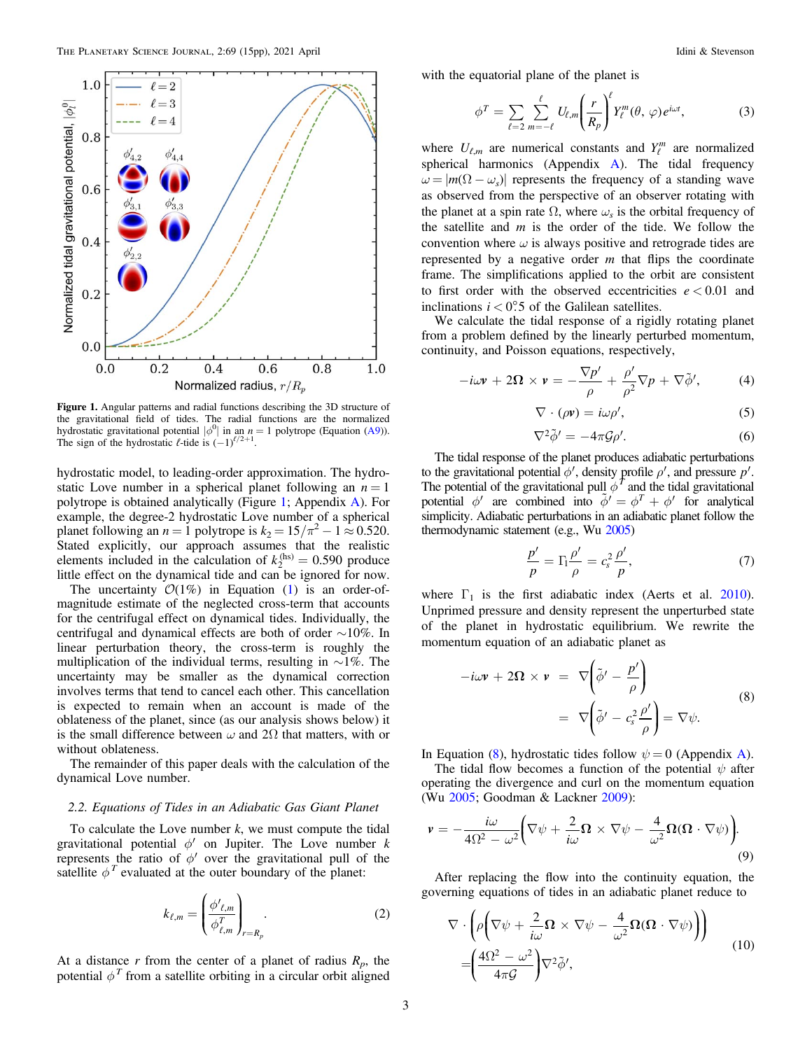<span id="page-2-0"></span>

Figure 1. Angular patterns and radial functions describing the 3D structure of the gravitational field of tides. The radial functions are the normalized hydrostatic gravitational potential  $|\phi^0|$  in an  $n = 1$  polytrope (Equation ([A9](#page-10-0))).<br>The sign of the hydrostatic  $\ell$ -tide is  $(-1)^{\ell/2+1}$ .

hydrostatic model, to leading-order approximation. The hydrostatic Love number in a spherical planet following an  $n = 1$ polytrope is obtained analytically (Figure 1; Appendix [A](#page-10-0)). For example, the degree-2 hydrostatic Love number of a spherical planet following an  $n = 1$  polytrope is  $k_2 = 15/\pi^2 - 1 \approx 0.520$ . Stated explicitly, our approach assumes that the realistic elements included in the calculation of  $k_2^{(hs)} = 0.590$  produce little effect on the dynamical tide and can be ignored for now.

The uncertainty  $O(1\%)$  $O(1\%)$  $O(1\%)$  in Equation (1) is an order-ofmagnitude estimate of the neglected cross-term that accounts for the centrifugal effect on dynamical tides. Individually, the centrifugal and dynamical effects are both of order ∼10%. In linear perturbation theory, the cross-term is roughly the multiplication of the individual terms, resulting in ∼1%. The uncertainty may be smaller as the dynamical correction involves terms that tend to cancel each other. This cancellation is expected to remain when an account is made of the oblateness of the planet, since (as our analysis shows below) it is the small difference between  $\omega$  and 2 $\Omega$  that matters, with or without oblateness.

The remainder of this paper deals with the calculation of the dynamical Love number.

## 2.2. Equations of Tides in an Adiabatic Gas Giant Planet

To calculate the Love number  $k$ , we must compute the tidal gravitational potential  $\phi'$  on Jupiter. The Love number k represents the ratio of  $\phi'$  over the gravitational pull of the satellite  $\phi^T$  evaluated at the outer boundary of the planet:

$$
k_{\ell,m} = \left(\frac{\phi'_{\ell,m}}{\phi_{\ell,m}^T}\right)_{r=R_p}.\tag{2}
$$

At a distance r from the center of a planet of radius  $R_p$ , the potential  $\phi^T$  from a satellite orbiting in a circular orbit aligned

with the equatorial plane of the planet is

$$
\phi^T = \sum_{\ell=2}^{\infty} \sum_{m=-\ell}^{\ell} U_{\ell,m} \left( \frac{r}{R_p} \right)^{\ell} Y_{\ell}^m(\theta, \varphi) e^{i\omega t}, \tag{3}
$$

where  $U_{\ell,m}$  are numerical constants and  $Y_{\ell}^m$  are normalized spherical harmonics ([A](#page-10-0)ppendix  $\overrightarrow{A}$ ). The tidal frequency  $\omega = |m(\Omega - \omega_s)|$  represents the frequency of a standing wave as observed from the perspective of an observer rotating with the planet at a spin rate  $\Omega$ , where  $\omega_s$  is the orbital frequency of the satellite and  $m$  is the order of the tide. We follow the convention where  $\omega$  is always positive and retrograde tides are represented by a negative order  $m$  that flips the coordinate frame. The simplifications applied to the orbit are consistent to first order with the observed eccentricities  $e < 0.01$  and inclinations  $i < 0.5$  of the Galilean satellites.

We calculate the tidal response of a rigidly rotating planet from a problem defined by the linearly perturbed momentum, continuity, and Poisson equations, respectively,

$$
-i\omega \mathbf{v} + 2\mathbf{\Omega} \times \mathbf{v} = -\frac{\nabla p'}{\rho} + \frac{\rho'}{\rho^2} \nabla p + \nabla \tilde{\phi}',\tag{4}
$$

$$
\nabla \cdot (\rho \mathbf{v}) = i\omega \rho',\tag{5}
$$

$$
\nabla^2 \tilde{\phi}' = -4\pi \mathcal{G} \rho'.\tag{6}
$$

The tidal response of the planet produces adiabatic perturbations to the gravitational potential  $\phi'$ , density profile  $\rho'$ , and pressure  $p'$ . The potential of the gravitational pull  $\phi^T$  and the tidal gravitational potential  $\phi'$  are combined into  $\tilde{\phi}' = \phi^T + \phi'$  for analytical simplicity. Adiabatic perturbations in an adiabatic planet follow the thermodynamic statement (e.g., Wu [2005](#page-14-0))

$$
\frac{p'}{p} = \Gamma_1 \frac{\rho'}{\rho} = c_s^2 \frac{\rho'}{p},\tag{7}
$$

where  $\Gamma_1$  is the first adiabatic index (Aerts et al. [2010](#page-14-0)). Unprimed pressure and density represent the unperturbed state of the planet in hydrostatic equilibrium. We rewrite the momentum equation of an adiabatic planet as

$$
-i\omega \mathbf{v} + 2\Omega \times \mathbf{v} = \nabla \left( \tilde{\phi}' - \frac{p'}{\rho} \right)
$$
  

$$
= \nabla \left( \tilde{\phi}' - c_s^2 \frac{\rho'}{\rho} \right) = \nabla \psi.
$$
 (8)

In Equation (8), hydrostatic tides follow  $\psi = 0$  ([A](#page-10-0)ppendix A).

The tidal flow becomes a function of the potential  $\psi$  after operating the divergence and curl on the momentum equation (Wu [2005;](#page-14-0) Goodman & Lackner [2009](#page-14-0)):

$$
\mathbf{v} = -\frac{i\omega}{4\Omega^2 - \omega^2} \bigg( \nabla \psi + \frac{2}{i\omega} \mathbf{\Omega} \times \nabla \psi - \frac{4}{\omega^2} \mathbf{\Omega} (\mathbf{\Omega} \cdot \nabla \psi) \bigg).
$$
\n(9)

After replacing the flow into the continuity equation, the governing equations of tides in an adiabatic planet reduce to

$$
\nabla \cdot \left( \rho \left( \nabla \psi + \frac{2}{i\omega} \Omega \times \nabla \psi - \frac{4}{\omega^2} \Omega (\Omega \cdot \nabla \psi) \right) \right) \n= \left( \frac{4\Omega^2 - \omega^2}{4\pi g} \right) \nabla^2 \tilde{\phi}',
$$
\n(10)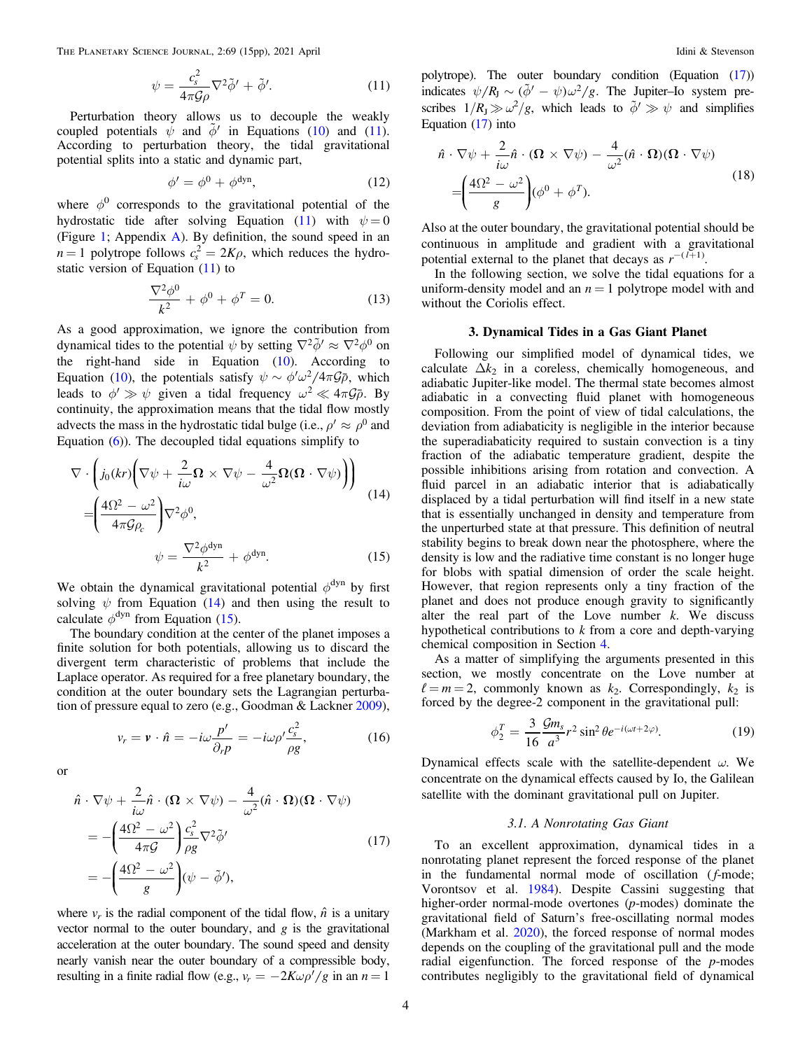<span id="page-3-0"></span>The PLANETARY SCIENCE JOURNAL, 2:69 (15pp), 2021 April **Idini Access 2021** April Idini & Stevenson

$$
\psi = \frac{c_s^2}{4\pi\mathcal{G}\rho} \nabla^2 \tilde{\phi}' + \tilde{\phi}'.\tag{11}
$$

Perturbation theory allows us to decouple the weakly coupled potentials  $\psi$  and  $\tilde{\phi}'$  in Equations ([10](#page-2-0)) and (11). According to perturbation theory, the tidal gravitational potential splits into a static and dynamic part,

$$
\phi' = \phi^0 + \phi^{\text{dyn}},\tag{12}
$$

where  $\phi^0$  corresponds to the gravitational potential of the hydrostatic tide after solving Equation (11) with  $\psi = 0$ (Figure [1](#page-2-0); Appendix [A](#page-10-0)). By definition, the sound speed in an  $n = 1$  polytrope follows  $c_s^2 = 2K\rho$ , which reduces the hydrostatic version of Equation (11) to

$$
\frac{\nabla^2 \phi^0}{k^2} + \phi^0 + \phi^T = 0.
$$
 (13)

As a good approximation, we ignore the contribution from dynamical tides to the potential  $\psi$  by setting  $\nabla^2 \tilde{\phi}' \approx \nabla^2 \phi^0$  on the right-hand side in Equation  $(10)$  $(10)$  $(10)$ . According to Equation ([10](#page-2-0)), the potentials satisfy  $\psi \sim \phi' \omega^2 / 4\pi \mathcal{G} \bar{\rho}$ , which leads to  $\phi' \gg \psi$  given a tidal frequency  $\omega^2 \ll 4\pi \mathcal{G}\bar{\rho}$ . By continuity, the approximation means that the tidal flow mostly advects the mass in the hydrostatic tidal bulge (i.e.,  $\rho' \approx \rho^0$  and Equation  $(6)$  $(6)$  $(6)$ ). The decoupled tidal equations simplify to

$$
\nabla \cdot \left( j_0(kr) \left( \nabla \psi + \frac{2}{i\omega} \Omega \times \nabla \psi - \frac{4}{\omega^2} \Omega (\Omega \cdot \nabla \psi) \right) \right)
$$
  
= 
$$
\left( \frac{4\Omega^2 - \omega^2}{4\pi \mathcal{G} \rho_c} \right) \nabla^2 \phi^0,
$$
  

$$
\psi = \frac{\nabla^2 \phi^{dyn}}{k^2} + \phi^{dyn}.
$$
 (15)

We obtain the dynamical gravitational potential  $\phi^{dyn}$  by first solving  $\psi$  from Equation (14) and then using the result to calculate  $\phi^{dyn}$  from Equation (15).

The boundary condition at the center of the planet imposes a finite solution for both potentials, allowing us to discard the divergent term characteristic of problems that include the Laplace operator. As required for a free planetary boundary, the condition at the outer boundary sets the Lagrangian perturbation of pressure equal to zero (e.g., Goodman & Lackner [2009](#page-14-0)),

$$
v_r = \mathbf{v} \cdot \hat{n} = -i\omega \frac{p'}{\partial_r p} = -i\omega \rho' \frac{c_s^2}{\rho g},\tag{16}
$$

or

$$
\hat{n} \cdot \nabla \psi + \frac{2}{i\omega} \hat{n} \cdot (\Omega \times \nabla \psi) - \frac{4}{\omega^2} (\hat{n} \cdot \Omega)(\Omega \cdot \nabla \psi)
$$
  
= 
$$
- \left( \frac{4\Omega^2 - \omega^2}{4\pi \mathcal{G}} \right) \frac{c_s^2}{\rho g} \nabla^2 \tilde{\phi}'
$$
  
= 
$$
- \left( \frac{4\Omega^2 - \omega^2}{g} \right) (\psi - \tilde{\phi}'),
$$
 (17)

where  $v_r$  is the radial component of the tidal flow,  $\hat{n}$  is a unitary vector normal to the outer boundary, and  $g$  is the gravitational acceleration at the outer boundary. The sound speed and density nearly vanish near the outer boundary of a compressible body, resulting in a finite radial flow (e.g.,  $v_r = -2K\omega\rho'/g$  in an  $n = 1$ 

polytrope). The outer boundary condition (Equation (17)) indicates  $\psi/R_J \sim (\tilde{\phi}' - \psi)\omega^2/g$ . The Jupiter–Io system prescribes  $1/R_J \gg \omega^2/g$ , which leads to  $\tilde{\phi}' \gg \psi$  and simplifies Equation (17) into

$$
\hat{n} \cdot \nabla \psi + \frac{2}{i\omega} \hat{n} \cdot (\Omega \times \nabla \psi) - \frac{4}{\omega^2} (\hat{n} \cdot \Omega)(\Omega \cdot \nabla \psi)
$$
  
= 
$$
\left(\frac{4\Omega^2 - \omega^2}{g}\right) (\phi^0 + \phi^T).
$$
 (18)

Also at the outer boundary, the gravitational potential should be continuous in amplitude and gradient with a gravitational potential external to the planet that decays as  $r^{-(l+1)}$ .

In the following section, we solve the tidal equations for a uniform-density model and an  $n = 1$  polytrope model with and without the Coriolis effect.

# 3. Dynamical Tides in a Gas Giant Planet

Following our simplified model of dynamical tides, we calculate  $\Delta k_2$  in a coreless, chemically homogeneous, and adiabatic Jupiter-like model. The thermal state becomes almost adiabatic in a convecting fluid planet with homogeneous composition. From the point of view of tidal calculations, the deviation from adiabaticity is negligible in the interior because the superadiabaticity required to sustain convection is a tiny fraction of the adiabatic temperature gradient, despite the possible inhibitions arising from rotation and convection. A fluid parcel in an adiabatic interior that is adiabatically displaced by a tidal perturbation will find itself in a new state that is essentially unchanged in density and temperature from the unperturbed state at that pressure. This definition of neutral stability begins to break down near the photosphere, where the density is low and the radiative time constant is no longer huge for blobs with spatial dimension of order the scale height. However, that region represents only a tiny fraction of the planet and does not produce enough gravity to significantly alter the real part of the Love number  $k$ . We discuss hypothetical contributions to  $k$  from a core and depth-varying chemical composition in Section [4.](#page-8-0)

As a matter of simplifying the arguments presented in this section, we mostly concentrate on the Love number at  $l = m = 2$ , commonly known as  $k_2$ . Correspondingly,  $k_2$  is forced by the degree-2 component in the gravitational pull:

$$
\phi_2^T = \frac{3}{16} \frac{\mathcal{G}m_s}{a^3} r^2 \sin^2 \theta e^{-i(\omega t + 2\varphi)}.\tag{19}
$$

Dynamical effects scale with the satellite-dependent  $\omega$ . We concentrate on the dynamical effects caused by Io, the Galilean satellite with the dominant gravitational pull on Jupiter.

## 3.1. A Nonrotating Gas Giant

To an excellent approximation, dynamical tides in a nonrotating planet represent the forced response of the planet in the fundamental normal mode of oscillation  $(f\text{-mode})$ ; Vorontsov et al. [1984](#page-14-0)). Despite Cassini suggesting that higher-order normal-mode overtones (p-modes) dominate the gravitational field of Saturn's free-oscillating normal modes (Markham et al. [2020](#page-14-0)), the forced response of normal modes depends on the coupling of the gravitational pull and the mode radial eigenfunction. The forced response of the  $p$ -modes contributes negligibly to the gravitational field of dynamical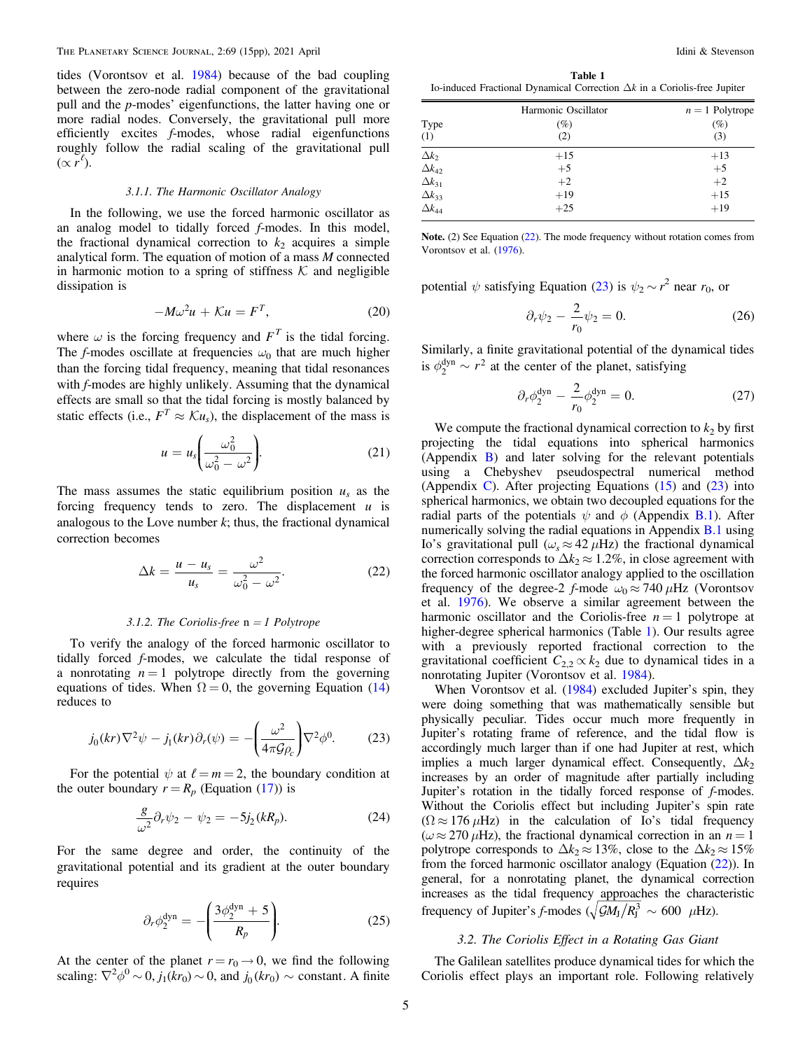<span id="page-4-0"></span>tides (Vorontsov et al. [1984](#page-14-0)) because of the bad coupling between the zero-node radial component of the gravitational pull and the p-modes' eigenfunctions, the latter having one or more radial nodes. Conversely, the gravitational pull more efficiently excites f-modes, whose radial eigenfunctions roughly follow the radial scaling of the gravitational pull  $(\propto r^{\ell}).$ 

#### 3.1.1. The Harmonic Oscillator Analogy

In the following, we use the forced harmonic oscillator as an analog model to tidally forced f-modes. In this model, the fractional dynamical correction to  $k_2$  acquires a simple analytical form. The equation of motion of a mass  $M$  connected in harmonic motion to a spring of stiffness  $K$  and negligible dissipation is

$$
-M\omega^2 u + \mathcal{K}u = F^T,\tag{20}
$$

where  $\omega$  is the forcing frequency and  $F<sup>T</sup>$  is the tidal forcing. The f-modes oscillate at frequencies  $\omega_0$  that are much higher than the forcing tidal frequency, meaning that tidal resonances with *f*-modes are highly unlikely. Assuming that the dynamical effects are small so that the tidal forcing is mostly balanced by static effects (i.e.,  $F^T \approx \mathcal{K}u_s$ ), the displacement of the mass is

$$
u = u_s \left( \frac{\omega_0^2}{\omega_0^2 - \omega^2} \right).
$$
 (21)

The mass assumes the static equilibrium position  $u_s$  as the forcing frequency tends to zero. The displacement  $u$  is analogous to the Love number  $k$ ; thus, the fractional dynamical correction becomes

$$
\Delta k = \frac{u - u_s}{u_s} = \frac{\omega^2}{\omega_0^2 - \omega^2}.
$$
 (22)

#### 3.1.2. The Coriolis-free  $n = 1$  Polytrope

To verify the analogy of the forced harmonic oscillator to tidally forced f-modes, we calculate the tidal response of a nonrotating  $n = 1$  polytrope directly from the governing equations of tides. When  $\Omega = 0$ , the governing Equation ([14](#page-3-0)) reduces to

$$
j_0(kr)\nabla^2\psi - j_1(kr)\partial_r(\psi) = -\left(\frac{\omega^2}{4\pi\mathcal{G}\rho_c}\right)\nabla^2\phi^0. \tag{23}
$$

For the potential  $\psi$  at  $\ell = m = 2$ , the boundary condition at the outer boundary  $r = R_p$  (Equation ([17](#page-3-0))) is

$$
\frac{g}{\omega^2} \partial_r \psi_2 - \psi_2 = -5j_2(kR_p). \tag{24}
$$

For the same degree and order, the continuity of the gravitational potential and its gradient at the outer boundary requires

$$
\partial_r \phi_2^{\text{dyn}} = -\left(\frac{3\phi_2^{\text{dyn}} + 5}{R_p}\right). \tag{25}
$$

At the center of the planet  $r = r_0 \rightarrow 0$ , we find the following scaling:  $\nabla^2 \phi^0 \sim 0$ ,  $j_1(kr_0) \sim 0$ , and  $j_0(kr_0) \sim$  constant. A finite

Table 1 Io-induced Fractional Dynamical Correction Δk in a Coriolis-free Jupiter

|                 | Harmonic Oscillator | $n = 1$ Polytrope |  |
|-----------------|---------------------|-------------------|--|
| Type            | (%)                 | $(\%)$            |  |
| (1)             | (2)                 | (3)               |  |
| $\Delta k_2$    | $+15$               | $+13$             |  |
| $\Delta k_{42}$ | $+5$                | $+5$              |  |
| $\Delta k_{31}$ | $+2$                | $+2$              |  |
| $\Delta k_{33}$ | $+19$               | $+15$             |  |
| $\Delta k_{44}$ | $+25$               | $+19$             |  |

Note. (2) See Equation (22). The mode frequency without rotation comes from Vorontsov et al. ([1976](#page-14-0)).

potential  $\psi$  satisfying Equation (23) is  $\psi_2 \sim r^2$  near  $r_0$ , or

$$
\partial_r \psi_2 - \frac{2}{r_0} \psi_2 = 0. \tag{26}
$$

Similarly, a finite gravitational potential of the dynamical tides is  $\phi_2^{\text{dyn}} \sim r^2$  at the center of the planet, satisfying

$$
\partial_r \phi_2^{\text{dyn}} - \frac{2}{r_0} \phi_2^{\text{dyn}} = 0. \tag{27}
$$

We compute the fractional dynamical correction to  $k_2$  by first projecting the tidal equations into spherical harmonics (Appendix [B](#page-11-0)) and later solving for the relevant potentials using a Chebyshev pseudospectral numerical method (Appendix [C](#page-13-0)). After projecting Equations  $(15)$  $(15)$  $(15)$  and  $(23)$  into spherical harmonics, we obtain two decoupled equations for the radial parts of the potentials  $\psi$  and  $\phi$  (Appendix [B.1](#page-11-0)). After numerically solving the radial equations in Appendix [B.1](#page-11-0) using Io's gravitational pull ( $\omega$ <sub>s</sub>  $\approx$  42  $\mu$ Hz) the fractional dynamical correction corresponds to  $\Delta k_2 \approx 1.2\%$ , in close agreement with the forced harmonic oscillator analogy applied to the oscillation frequency of the degree-2 f-mode  $\omega_0 \approx 740 \,\mu$ Hz (Vorontsov et al. [1976](#page-14-0)). We observe a similar agreement between the harmonic oscillator and the Coriolis-free  $n = 1$  polytrope at higher-degree spherical harmonics (Table 1). Our results agree with a previously reported fractional correction to the gravitational coefficient  $C_{2,2} \propto k_2$  due to dynamical tides in a nonrotating Jupiter (Vorontsov et al. [1984](#page-14-0)).

When Vorontsov et al. ([1984](#page-14-0)) excluded Jupiter's spin, they were doing something that was mathematically sensible but physically peculiar. Tides occur much more frequently in Jupiter's rotating frame of reference, and the tidal flow is accordingly much larger than if one had Jupiter at rest, which implies a much larger dynamical effect. Consequently,  $\Delta k_2$ increases by an order of magnitude after partially including Jupiter's rotation in the tidally forced response of f-modes. Without the Coriolis effect but including Jupiter's spin rate  $(\Omega \approx 176 \,\mu\text{Hz})$  in the calculation of Io's tidal frequency  $(\omega \approx 270 \,\mu\text{Hz})$ , the fractional dynamical correction in an  $n = 1$ polytrope corresponds to  $\Delta k_2 \approx 13\%$ , close to the  $\Delta k_2 \approx 15\%$ from the forced harmonic oscillator analogy (Equation  $(22)$ ). In general, for a nonrotating planet, the dynamical correction increases as the tidal frequency approaches the characteristic frequency of Jupiter's f-modes ( $\sqrt{\mathcal{G}M_{\rm J}/R_{\rm J}^3} \sim 600 \mu$ Hz).

# 3.2. The Coriolis Effect in a Rotating Gas Giant

The Galilean satellites produce dynamical tides for which the Coriolis effect plays an important role. Following relatively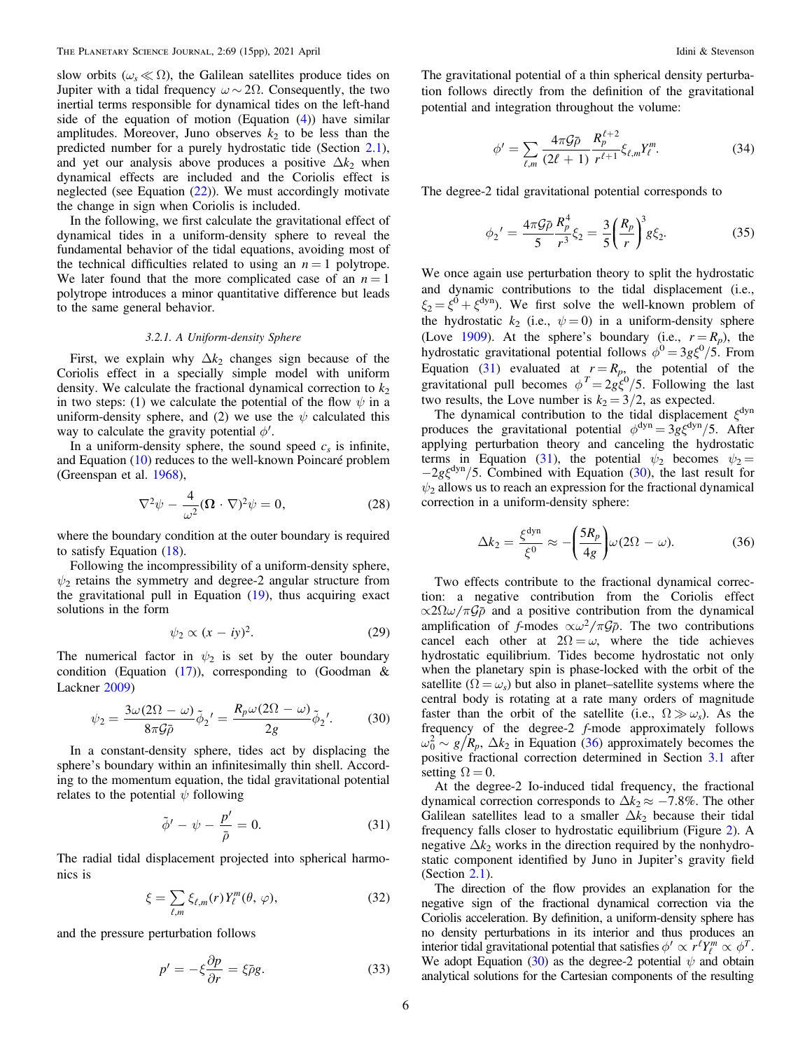<span id="page-5-0"></span>slow orbits ( $\omega_s \ll \Omega$ ), the Galilean satellites produce tides on Jupiter with a tidal frequency  $\omega \sim 2\Omega$ . Consequently, the two inertial terms responsible for dynamical tides on the left-hand side of the equation of motion (Equation  $(4)$  $(4)$  $(4)$ ) have similar amplitudes. Moreover, Juno observes  $k_2$  to be less than the predicted number for a purely hydrostatic tide (Section [2.1](#page-1-0)), and yet our analysis above produces a positive  $\Delta k_2$  when dynamical effects are included and the Coriolis effect is neglected (see Equation ([22](#page-4-0))). We must accordingly motivate the change in sign when Coriolis is included.

In the following, we first calculate the gravitational effect of dynamical tides in a uniform-density sphere to reveal the fundamental behavior of the tidal equations, avoiding most of the technical difficulties related to using an  $n = 1$  polytrope. We later found that the more complicated case of an  $n = 1$ polytrope introduces a minor quantitative difference but leads to the same general behavior.

#### 3.2.1. A Uniform-density Sphere

First, we explain why  $\Delta k_2$  changes sign because of the Coriolis effect in a specially simple model with uniform density. We calculate the fractional dynamical correction to  $k_2$ in two steps: (1) we calculate the potential of the flow  $\psi$  in a uniform-density sphere, and (2) we use the  $\psi$  calculated this way to calculate the gravity potential  $\phi'$ .

In a uniform-density sphere, the sound speed  $c_s$  is infinite, and Equation ([10](#page-2-0)) reduces to the well-known Poincaré problem (Greenspan et al. [1968](#page-14-0)),

$$
\nabla^2 \psi - \frac{4}{\omega^2} (\Omega \cdot \nabla)^2 \psi = 0, \qquad (28)
$$

where the boundary condition at the outer boundary is required to satisfy Equation ([18](#page-3-0)).

Following the incompressibility of a uniform-density sphere,  $\psi_2$  retains the symmetry and degree-2 angular structure from the gravitational pull in Equation ([19](#page-3-0)), thus acquiring exact solutions in the form

$$
\psi_2 \propto (x - iy)^2. \tag{29}
$$

The numerical factor in  $\psi_2$  is set by the outer boundary condition (Equation  $(17)$  $(17)$  $(17)$ ), corresponding to (Goodman & Lackner [2009](#page-14-0))

$$
\psi_2 = \frac{3\omega(2\Omega - \omega)}{8\pi\mathcal{G}\bar{\rho}}\tilde{\phi}_2' = \frac{R_p\omega(2\Omega - \omega)}{2g}\tilde{\phi}_2'.\tag{30}
$$

In a constant-density sphere, tides act by displacing the sphere's boundary within an infinitesimally thin shell. According to the momentum equation, the tidal gravitational potential relates to the potential  $\psi$  following

$$
\tilde{\phi}' - \psi - \frac{p'}{\bar{\rho}} = 0. \tag{31}
$$

The radial tidal displacement projected into spherical harmonics is

$$
\xi = \sum_{\ell,m} \xi_{\ell,m}(r) Y_{\ell}^{m}(\theta, \varphi), \qquad (32)
$$

and the pressure perturbation follows

$$
p' = -\xi \frac{\partial p}{\partial r} = \xi \bar{\rho} g. \tag{33}
$$

The gravitational potential of a thin spherical density perturbation follows directly from the definition of the gravitational potential and integration throughout the volume:

$$
\phi' = \sum_{\ell,m} \frac{4\pi \mathcal{G}\bar{\rho}}{(2\ell+1)} \frac{R_{p}^{\ell+2}}{r^{\ell+1}} \xi_{\ell,m} Y_{\ell}^{m}.
$$
 (34)

The degree-2 tidal gravitational potential corresponds to

$$
\phi_2' = \frac{4\pi\mathcal{G}\bar{\rho}}{5} \frac{R_p^4}{r^3} \xi_2 = \frac{3}{5} \left(\frac{R_p}{r}\right)^3 g \xi_2. \tag{35}
$$

We once again use perturbation theory to split the hydrostatic and dynamic contributions to the tidal displacement (i.e.,  $\xi_2 = \xi^0 + \xi^{\text{dyn}}$ . We first solve the well-known problem of the hydrostatic  $k_2$  (i.e.,  $\psi = 0$ ) in a uniform-density sphere (Love [1909](#page-14-0)). At the sphere's boundary (i.e.,  $r = R_p$ ), the hydrostatic gravitational potential follows  $\phi^0 = 3g\xi^0/5$ . From Equation (31) evaluated at  $r = R_p$ , the potential of the gravitational pull becomes  $\phi^T = 2g\xi^0/5$ . Following the last two results, the Love number is  $k_2 = 3/2$ , as expected.

The dynamical contribution to the tidal displacement  $\xi^{\text{dyn}}$ produces the gravitational potential  $\phi^{dyn} = 3g\xi^{dyn}/5$ . After applying perturbation theory and canceling the hydrostatic terms in Equation (31), the potential  $\psi_2$  becomes  $\psi_2$  =  $-2g\xi^{\text{dyn}}/5$ . Combined with Equation (30), the last result for  $\psi_2$  allows us to reach an expression for the fractional dynamical correction in a uniform-density sphere:

$$
\Delta k_2 = \frac{\xi^{\text{dyn}}}{\xi^0} \approx -\left(\frac{5R_p}{4g}\right)\omega(2\Omega - \omega). \tag{36}
$$

Two effects contribute to the fractional dynamical correction: a negative contribution from the Coriolis effect  $\alpha 2\Omega \omega / \pi \mathcal{G}$  and a positive contribution from the dynamical amplification of f-modes  $\alpha \omega^2 / \pi \mathcal{G} \bar{\rho}$ . The two contributions cancel each other at  $2\Omega = \omega$ , where the tide achieves hydrostatic equilibrium. Tides become hydrostatic not only when the planetary spin is phase-locked with the orbit of the satellite ( $\Omega = \omega_s$ ) but also in planet–satellite systems where the central body is rotating at a rate many orders of magnitude faster than the orbit of the satellite (i.e.,  $\Omega \gg \omega_s$ ). As the frequency of the degree-2 f-mode approximately follows  $\omega_0^2 \sim g/R_p$ ,  $\Delta k_2$  in Equation (36) approximately becomes the positive fractional correction determined in Section [3.1](#page-3-0) after setting  $\Omega = 0$ .

At the degree-2 Io-induced tidal frequency, the fractional dynamical correction corresponds to  $\Delta k_2 \approx -7.8\%$ . The other Galilean satellites lead to a smaller  $\Delta k_2$  because their tidal frequency falls closer to hydrostatic equilibrium (Figure [2](#page-6-0)). A negative  $\Delta k_2$  works in the direction required by the nonhydrostatic component identified by Juno in Jupiter's gravity field (Section [2.1](#page-1-0)).

The direction of the flow provides an explanation for the negative sign of the fractional dynamical correction via the Coriolis acceleration. By definition, a uniform-density sphere has no density perturbations in its interior and thus produces an interior tidal gravitational potential that satisfies  $\phi' \propto r^{\ell} Y_{\ell}^{m} \propto \phi^{T}$ . We adopt Equation (30) as the degree-2 potential  $\psi$  and obtain analytical solutions for the Cartesian components of the resulting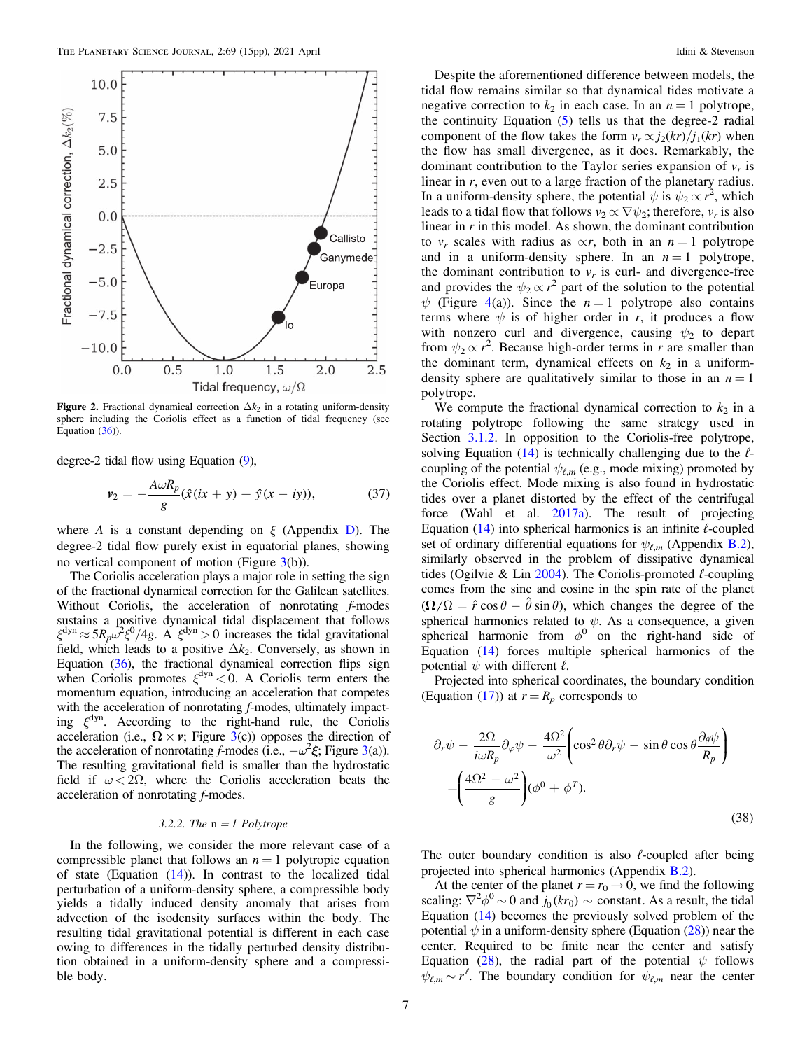<span id="page-6-0"></span>

**Figure 2.** Fractional dynamical correction  $\Delta k_2$  in a rotating uniform-density sphere including the Coriolis effect as a function of tidal frequency (see Equation  $(36)$  $(36)$  $(36)$ ).

degree-2 tidal flow using Equation ([9](#page-2-0)),

$$
\nu_2 = -\frac{A\omega R_p}{g}(\hat{x}(ix+y) + \hat{y}(x-iy)),\tag{37}
$$

where A is a constant depending on  $\xi$  (Appendix [D](#page-13-0)). The degree-2 tidal flow purely exist in equatorial planes, showing no vertical component of motion (Figure  $3(b)$  $3(b)$ ).

The Coriolis acceleration plays a major role in setting the sign of the fractional dynamical correction for the Galilean satellites. Without Coriolis, the acceleration of nonrotating f-modes sustains a positive dynamical tidal displacement that follows  $\xi^{\text{dyn}} \approx 5R_p \omega^2 \xi^0/4g$ . A  $\xi^{\text{dyn}} > 0$  increases the tidal gravitational field, which leads to a positive  $\Delta k_2$ . Conversely, as shown in Equation ([36](#page-5-0)), the fractional dynamical correction flips sign when Coriolis promotes  $\xi^{\text{dyn}}$  < 0. A Coriolis term enters the momentum equation, introducing an acceleration that competes with the acceleration of nonrotating f-modes, ultimately impacting  $\xi^{\text{dyn}}$ . According to the right-hand rule, the Coriolis acceleration (i.e.,  $\Omega \times v$ ; Figure [3](#page-7-0)(c)) opposes the direction of the acceleration of nonrotating f-modes (i.e.,  $-\omega^2 \xi$ ; Figure [3](#page-7-0)(a)). The resulting gravitational field is smaller than the hydrostatic field if  $\omega < 2\Omega$ , where the Coriolis acceleration beats the acceleration of nonrotating f-modes.

## 3.2.2. The  $n = 1$  Polytrope

In the following, we consider the more relevant case of a compressible planet that follows an  $n = 1$  polytropic equation of state (Equation  $(14)$  $(14)$  $(14)$ ). In contrast to the localized tidal perturbation of a uniform-density sphere, a compressible body yields a tidally induced density anomaly that arises from advection of the isodensity surfaces within the body. The resulting tidal gravitational potential is different in each case owing to differences in the tidally perturbed density distribution obtained in a uniform-density sphere and a compressible body.

Despite the aforementioned difference between models, the tidal flow remains similar so that dynamical tides motivate a negative correction to  $k_2$  in each case. In an  $n = 1$  polytrope, the continuity Equation  $(5)$  $(5)$  $(5)$  tells us that the degree-2 radial component of the flow takes the form  $v_r \propto j_2(kr)/j_1(kr)$  when the flow has small divergence, as it does. Remarkably, the dominant contribution to the Taylor series expansion of  $v_r$  is linear in  $r$ , even out to a large fraction of the planetary radius. In a uniform-density sphere, the potential  $\psi$  is  $\psi_2 \propto r^2$ , which leads to a tidal flow that follows  $v_2 \propto \nabla \psi_2$ ; therefore,  $v_r$  is also linear in  $r$  in this model. As shown, the dominant contribution to  $v_r$  scales with radius as  $\propto r$ , both in an  $n = 1$  polytrope and in a uniform-density sphere. In an  $n = 1$  polytrope, the dominant contribution to  $v_r$  is curl- and divergence-free and provides the  $\psi_2 \propto r^2$  part of the solution to the potential  $\psi$  (Figure [4](#page-7-0)(a)). Since the  $n = 1$  polytrope also contains terms where  $\psi$  is of higher order in r, it produces a flow with nonzero curl and divergence, causing  $\psi_2$  to depart from  $\psi_2 \propto r^2$ . Because high-order terms in r are smaller than the dominant term, dynamical effects on  $k_2$  in a uniformdensity sphere are qualitatively similar to those in an  $n = 1$ polytrope.

We compute the fractional dynamical correction to  $k_2$  in a rotating polytrope following the same strategy used in Section [3.1.2.](#page-4-0) In opposition to the Coriolis-free polytrope, solving Equation  $(14)$  $(14)$  $(14)$  is technically challenging due to the  $\ell$ coupling of the potential  $\psi_{\ell,m}$  (e.g., mode mixing) promoted by the Coriolis effect. Mode mixing is also found in hydrostatic tides over a planet distorted by the effect of the centrifugal force (Wahl et al. [2017a](#page-14-0)). The result of projecting Equation  $(14)$  $(14)$  $(14)$  into spherical harmonics is an infinite  $\ell$ -coupled set of ordinary differential equations for  $\psi_{\ell,m}$  (Appendix [B.2](#page-11-0)), similarly observed in the problem of dissipative dynamical tides (Ogilvie & Lin  $2004$ ). The Coriolis-promoted  $\ell$ -coupling comes from the sine and cosine in the spin rate of the planet  $(\Omega/\Omega = \hat{r} \cos \theta - \hat{\theta} \sin \theta)$ , which changes the degree of the spherical harmonics related to  $\psi$ . As a consequence, a given spherical harmonic from  $\phi^0$  on the right-hand side of Equation ([14](#page-3-0)) forces multiple spherical harmonics of the potential  $\psi$  with different  $\ell$ .

Projected into spherical coordinates, the boundary condition (Equation ([17](#page-3-0))) at  $r = R_p$  corresponds to

$$
\partial_r \psi - \frac{2\Omega}{i\omega R_p} \partial_\varphi \psi - \frac{4\Omega^2}{\omega^2} \left( \cos^2 \theta \partial_r \psi - \sin \theta \cos \theta \frac{\partial_\theta \psi}{R_p} \right)
$$
  
= 
$$
\left( \frac{4\Omega^2 - \omega^2}{g} \right) (\phi^0 + \phi^T).
$$
(38)

The outer boundary condition is also  $\ell$ -coupled after being projected into spherical harmonics (Appendix [B.2](#page-11-0)).

At the center of the planet  $r = r_0 \rightarrow 0$ , we find the following scaling:  $\nabla^2 \phi^0 \sim 0$  and  $j_0(kr_0) \sim$  constant. As a result, the tidal Equation ([14](#page-3-0)) becomes the previously solved problem of the potential  $\psi$  in a uniform-density sphere (Equation ([28](#page-5-0))) near the center. Required to be finite near the center and satisfy Equation ([28](#page-5-0)), the radial part of the potential  $\psi$  follows  $\psi_{\ell,m} \sim r^{\ell}$ . The boundary condition for  $\psi_{\ell,m}$  near the center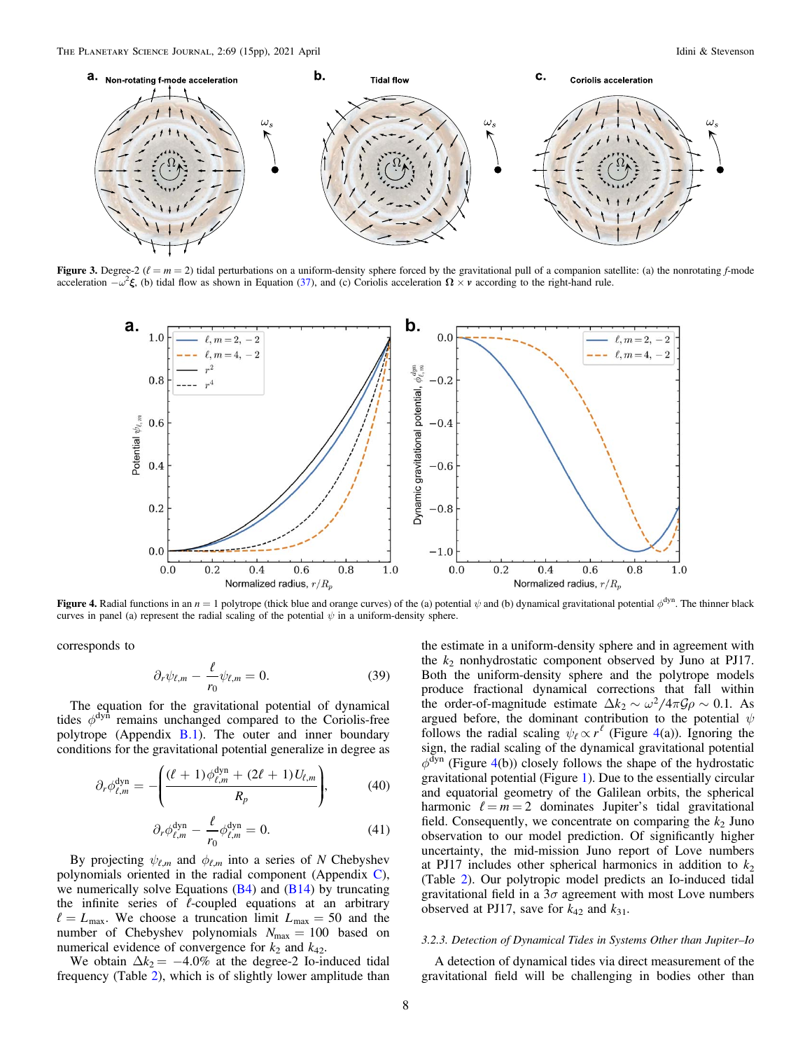<span id="page-7-0"></span>

Figure 3. Degree-2 ( $\ell = m = 2$ ) tidal perturbations on a uniform-density sphere forced by the gravitational pull of a companion satellite: (a) the nonrotating f-mode acceleration  $-\omega^2 \xi$ , (b) tidal flow as shown in Equation ([37](#page-6-0)), and (c) Coriolis acceleration  $\Omega \times \nu$  according to the right-hand rule.



Figure 4. Radial functions in an  $n = 1$  polytrope (thick blue and orange curves) of the (a) potential  $\psi$  and (b) dynamical gravitational potential  $\phi^{dyn}$ . The thinner black curves in panel (a) represent the radial scaling of the potential  $\psi$  in a uniform-density sphere.

corresponds to

$$
\partial_r \psi_{\ell,m} - \frac{\ell}{r_0} \psi_{\ell,m} = 0. \tag{39}
$$

The equation for the gravitational potential of dynamical tides  $\phi^{dyn}$  remains unchanged compared to the Coriolis-free polytrope (Appendix  $B(1)$ . The outer and inner boundary conditions for the gravitational potential generalize in degree as

$$
\partial_r \phi_{\ell,m}^{\text{dyn}} = -\left(\frac{(\ell+1)\phi_{\ell,m}^{\text{dyn}} + (2\ell+1)U_{\ell,m}}{R_p}\right),\tag{40}
$$

$$
\partial_r \phi_{\ell,m}^{\text{dyn}} - \frac{\ell}{r_0} \phi_{\ell,m}^{\text{dyn}} = 0. \tag{41}
$$

By projecting  $\psi_{\ell,m}$  and  $\phi_{\ell,m}$  into a series of N Chebyshev polynomials oriented in the radial component (Appendix [C](#page-13-0)), we numerically solve Equations  $(B4)$  $(B4)$  $(B4)$  and  $(B14)$  $(B14)$  $(B14)$  by truncating the infinite series of  $\ell$ -coupled equations at an arbitrary  $\ell = L_{\text{max}}$ . We choose a truncation limit  $L_{\text{max}} = 50$  and the number of Chebyshev polynomials *N*max = 100 based on numerical evidence of convergence for  $k_2$  and  $k_{42}$ .

We obtain  $\Delta k_2 = -4.0\%$  at the degree-2 Io-induced tidal frequency (Table [2](#page-8-0)), which is of slightly lower amplitude than

the estimate in a uniform-density sphere and in agreement with the  $k_2$  nonhydrostatic component observed by Juno at PJ17. Both the uniform-density sphere and the polytrope models produce fractional dynamical corrections that fall within the order-of-magnitude estimate  $\Delta k_2 \sim \omega^2/4\pi \mathcal{G}\rho \sim 0.1$ . As argued before, the dominant contribution to the potential  $\psi$ follows the radial scaling  $\psi_\ell \propto r^{\ell}$  (Figure 4(a)). Ignoring the sign, the radial scaling of the dynamical gravitational potential  $\phi$ <sup>dyn</sup> (Figure 4(b)) closely follows the shape of the hydrostatic gravitational potential (Figure [1](#page-2-0)). Due to the essentially circular and equatorial geometry of the Galilean orbits, the spherical harmonic  $\ell = m = 2$  dominates Jupiter's tidal gravitational field. Consequently, we concentrate on comparing the  $k_2$  Juno observation to our model prediction. Of significantly higher uncertainty, the mid-mission Juno report of Love numbers at PJ17 includes other spherical harmonics in addition to  $k_2$ (Table [2](#page-8-0)). Our polytropic model predicts an Io-induced tidal gravitational field in a  $3\sigma$  agreement with most Love numbers observed at PJ17, save for  $k_{42}$  and  $k_{31}$ .

#### 3.2.3. Detection of Dynamical Tides in Systems Other than Jupiter–Io

A detection of dynamical tides via direct measurement of the gravitational field will be challenging in bodies other than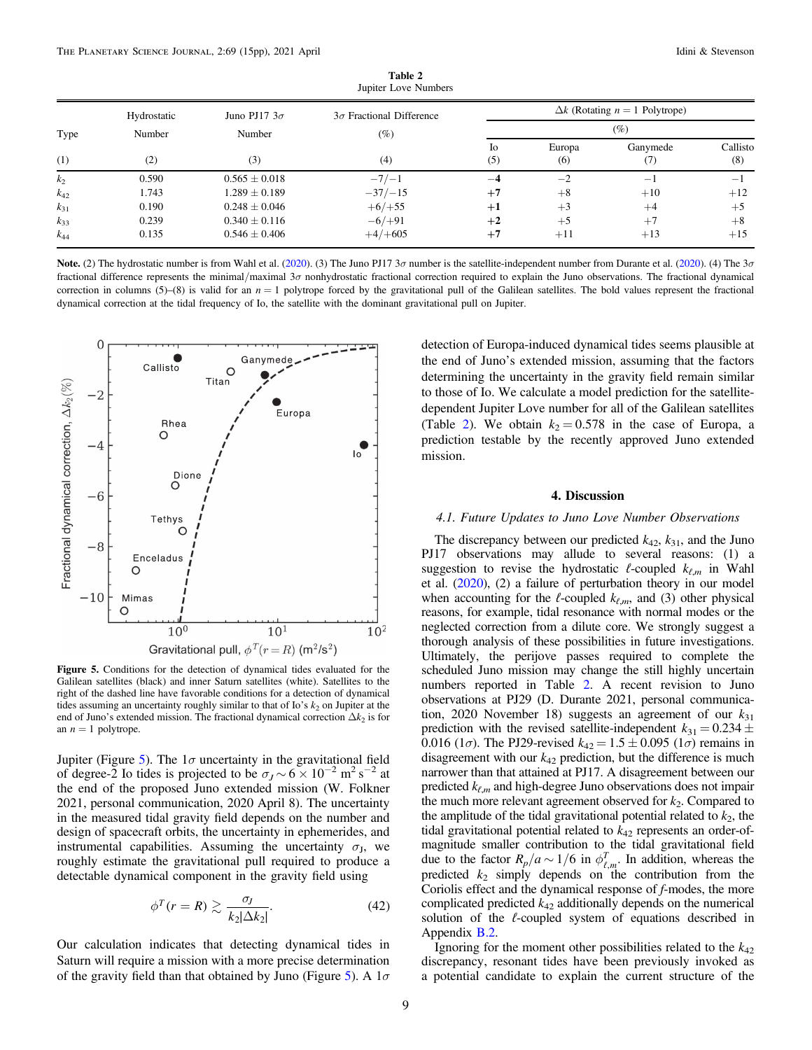<span id="page-8-0"></span>

| Type<br>(1) | Hydrostatic<br>Number<br>(2) | Juno PJ17 $3\sigma$<br>Number<br>(3) | $3\sigma$ Fractional Difference<br>$(\%)$<br>(4) | $\Delta k$ (Rotating $n = 1$ Polytrope)<br>$(\%)$ |       |                   |         |
|-------------|------------------------------|--------------------------------------|--------------------------------------------------|---------------------------------------------------|-------|-------------------|---------|
|             |                              |                                      |                                                  |                                                   |       |                   |         |
|             |                              |                                      |                                                  | k <sub>2</sub>                                    | 0.590 | $0.565 \pm 0.018$ | $-7/-1$ |
| $k_{42}$    | 1.743                        | $1.289 \pm 0.189$                    | $-37/ -15$                                       | $+7$                                              | $+8$  | $+10$             | $+12$   |
| $k_{31}$    | 0.190                        | $0.248 \pm 0.046$                    | $+6/+55$                                         | $+1$                                              | $+3$  | $+4$              | $+5$    |
| $k_{33}$    | 0.239                        | $0.340 \pm 0.116$                    | $-6/+91$                                         | $+2$                                              | $+5$  | $+7$              | $+8$    |
| $k_{44}$    | 0.135                        | $0.546 \pm 0.406$                    | $+4/+605$                                        | $+7$                                              | $+11$ | $+13$             | $+15$   |

Table 2 Jupiter Love Numbers

Note. (2) The hydrostatic number is from Wahl et al. ([2020](#page-14-0)). (3) The Juno PJ17  $3\sigma$  number is the satellite-independent number from Durante et al. (2020). (4) The  $3\sigma$ fractional difference represents the minimal/maximal  $3\sigma$  nonhydrostatic fractional correction required to explain the Juno observations. The fractional dynamical correction in columns (5)–(8) is valid for an  $n = 1$  polytrope forced by the gravitational pull of the Galilean satellites. The bold values represent the fractional dynamical correction at the tidal frequency of Io, the satellite with the dominant gravitational pull on Jupiter.



Figure 5. Conditions for the detection of dynamical tides evaluated for the Galilean satellites (black) and inner Saturn satellites (white). Satellites to the right of the dashed line have favorable conditions for a detection of dynamical tides assuming an uncertainty roughly similar to that of Io's  $k_2$  on Jupiter at the end of Juno's extended mission. The fractional dynamical correction  $\Delta k_2$  is for an  $n = 1$  polytrope.

Jupiter (Figure 5). The  $1\sigma$  uncertainty in the gravitational field of degree-2 Io tides is projected to be  $\sigma_J \sim 6 \times 10^{-2}$  m<sup>2</sup> s<sup>-2</sup> at the end of the proposed Juno extended mission (W. Folkner 2021, personal communication, 2020 April 8). The uncertainty in the measured tidal gravity field depends on the number and design of spacecraft orbits, the uncertainty in ephemerides, and instrumental capabilities. Assuming the uncertainty  $\sigma_{J}$ , we roughly estimate the gravitational pull required to produce a detectable dynamical component in the gravity field using

$$
\phi^T(r=R) \gtrsim \frac{\sigma_J}{k_2|\Delta k_2|}.\tag{42}
$$

Our calculation indicates that detecting dynamical tides in Saturn will require a mission with a more precise determination of the gravity field than that obtained by Juno (Figure 5). A  $1\sigma$ 

detection of Europa-induced dynamical tides seems plausible at the end of Juno's extended mission, assuming that the factors determining the uncertainty in the gravity field remain similar to those of Io. We calculate a model prediction for the satellitedependent Jupiter Love number for all of the Galilean satellites (Table 2). We obtain  $k_2 = 0.578$  in the case of Europa, a prediction testable by the recently approved Juno extended mission.

## 4. Discussion

## 4.1. Future Updates to Juno Love Number Observations

The discrepancy between our predicted  $k_{42}$ ,  $k_{31}$ , and the Juno PJ17 observations may allude to several reasons: (1) a suggestion to revise the hydrostatic  $\ell$ -coupled  $k_{\ell,m}$  in Wahl et al. ([2020](#page-14-0)), (2) a failure of perturbation theory in our model when accounting for the  $\ell$ -coupled  $k_{\ell,m}$ , and (3) other physical reasons, for example, tidal resonance with normal modes or the neglected correction from a dilute core. We strongly suggest a thorough analysis of these possibilities in future investigations. Ultimately, the perijove passes required to complete the scheduled Juno mission may change the still highly uncertain numbers reported in Table 2. A recent revision to Juno observations at PJ29 (D. Durante 2021, personal communication, 2020 November 18) suggests an agreement of our  $k_{31}$ prediction with the revised satellite-independent  $k_{31} = 0.234 \pm 0.234$ 0.016 (1 $\sigma$ ). The PJ29-revised  $k_{42} = 1.5 \pm 0.095$  (1 $\sigma$ ) remains in disagreement with our  $k_{42}$  prediction, but the difference is much narrower than that attained at PJ17. A disagreement between our predicted  $k_{\ell,m}$  and high-degree Juno observations does not impair the much more relevant agreement observed for  $k_2$ . Compared to the amplitude of the tidal gravitational potential related to  $k_2$ , the tidal gravitational potential related to  $k_{42}$  represents an order-ofmagnitude smaller contribution to the tidal gravitational field due to the factor  $R_p/a \sim 1/6$  in  $\phi_{\ell,m}^T$ . In addition, whereas the predicted  $k_2$  simply depends on the contribution from the Coriolis effect and the dynamical response of f-modes, the more complicated predicted  $k_{42}$  additionally depends on the numerical solution of the  $\ell$ -coupled system of equations described in Appendix [B.2](#page-11-0).

Ignoring for the moment other possibilities related to the  $k_{42}$ discrepancy, resonant tides have been previously invoked as a potential candidate to explain the current structure of the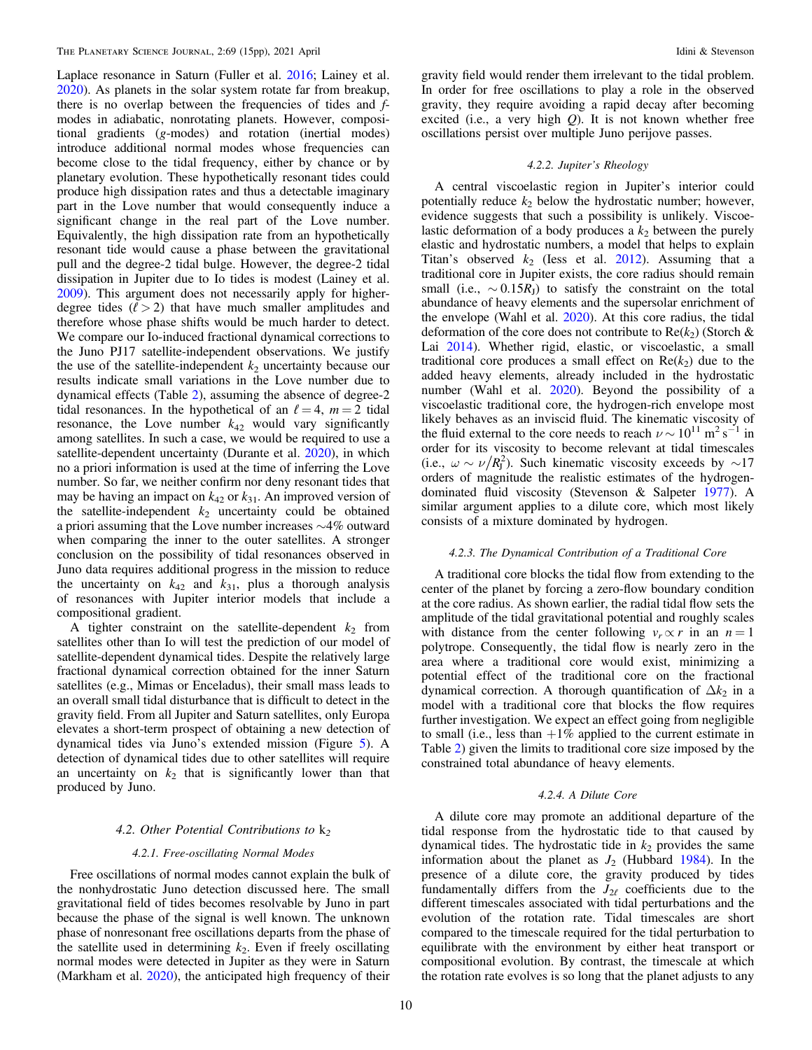Laplace resonance in Saturn (Fuller et al. [2016](#page-14-0); Lainey et al. [2020](#page-14-0)). As planets in the solar system rotate far from breakup, there is no overlap between the frequencies of tides and fmodes in adiabatic, nonrotating planets. However, compositional gradients (g-modes) and rotation (inertial modes) introduce additional normal modes whose frequencies can become close to the tidal frequency, either by chance or by planetary evolution. These hypothetically resonant tides could produce high dissipation rates and thus a detectable imaginary part in the Love number that would consequently induce a significant change in the real part of the Love number. Equivalently, the high dissipation rate from an hypothetically resonant tide would cause a phase between the gravitational pull and the degree-2 tidal bulge. However, the degree-2 tidal dissipation in Jupiter due to Io tides is modest (Lainey et al. [2009](#page-14-0)). This argument does not necessarily apply for higherdegree tides  $(\ell > 2)$  that have much smaller amplitudes and therefore whose phase shifts would be much harder to detect. We compare our Io-induced fractional dynamical corrections to the Juno PJ17 satellite-independent observations. We justify the use of the satellite-independent  $k_2$  uncertainty because our results indicate small variations in the Love number due to dynamical effects (Table [2](#page-8-0)), assuming the absence of degree-2 tidal resonances. In the hypothetical of an  $\ell = 4$ ,  $m = 2$  tidal resonance, the Love number  $k_{42}$  would vary significantly among satellites. In such a case, we would be required to use a satellite-dependent uncertainty (Durante et al. [2020](#page-14-0)), in which no a priori information is used at the time of inferring the Love number. So far, we neither confirm nor deny resonant tides that may be having an impact on  $k_{42}$  or  $k_{31}$ . An improved version of the satellite-independent  $k_2$  uncertainty could be obtained a priori assuming that the Love number increases ∼4% outward when comparing the inner to the outer satellites. A stronger conclusion on the possibility of tidal resonances observed in Juno data requires additional progress in the mission to reduce the uncertainty on  $k_{42}$  and  $k_{31}$ , plus a thorough analysis of resonances with Jupiter interior models that include a compositional gradient.

A tighter constraint on the satellite-dependent  $k_2$  from satellites other than Io will test the prediction of our model of satellite-dependent dynamical tides. Despite the relatively large fractional dynamical correction obtained for the inner Saturn satellites (e.g., Mimas or Enceladus), their small mass leads to an overall small tidal disturbance that is difficult to detect in the gravity field. From all Jupiter and Saturn satellites, only Europa elevates a short-term prospect of obtaining a new detection of dynamical tides via Juno's extended mission (Figure [5](#page-8-0)). A detection of dynamical tides due to other satellites will require an uncertainty on  $k_2$  that is significantly lower than that produced by Juno.

# 4.2. Other Potential Contributions to  $k_2$

## 4.2.1. Free-oscillating Normal Modes

Free oscillations of normal modes cannot explain the bulk of the nonhydrostatic Juno detection discussed here. The small gravitational field of tides becomes resolvable by Juno in part because the phase of the signal is well known. The unknown phase of nonresonant free oscillations departs from the phase of the satellite used in determining  $k_2$ . Even if freely oscillating normal modes were detected in Jupiter as they were in Saturn (Markham et al. [2020](#page-14-0)), the anticipated high frequency of their

gravity field would render them irrelevant to the tidal problem. In order for free oscillations to play a role in the observed gravity, they require avoiding a rapid decay after becoming excited (i.e., a very high  $Q$ ). It is not known whether free oscillations persist over multiple Juno perijove passes.

### 4.2.2. Jupiter's Rheology

A central viscoelastic region in Jupiter's interior could potentially reduce  $k_2$  below the hydrostatic number; however, evidence suggests that such a possibility is unlikely. Viscoelastic deformation of a body produces a  $k_2$  between the purely elastic and hydrostatic numbers, a model that helps to explain Titan's observed  $k_2$  (Iess et al. [2012](#page-14-0)). Assuming that a traditional core in Jupiter exists, the core radius should remain small (i.e.,  $\sim 0.15R_J$ ) to satisfy the constraint on the total abundance of heavy elements and the supersolar enrichment of the envelope (Wahl et al.  $2020$ ). At this core radius, the tidal deformation of the core does not contribute to  $Re(k_2)$  (Storch & Lai [2014](#page-14-0)). Whether rigid, elastic, or viscoelastic, a small traditional core produces a small effect on  $Re(k_2)$  due to the added heavy elements, already included in the hydrostatic number (Wahl et al. [2020](#page-14-0)). Beyond the possibility of a viscoelastic traditional core, the hydrogen-rich envelope most likely behaves as an inviscid fluid. The kinematic viscosity of the fluid external to the core needs to reach  $\nu \sim 10^{11} \text{ m}^2 \text{ s}^{-1}$  in order for its viscosity to become relevant at tidal timescales (i.e.,  $\omega \sim \nu / R_{\rm J}^2$ ). Such kinematic viscosity exceeds by ~17 orders of magnitude the realistic estimates of the hydrogendominated fluid viscosity (Stevenson & Salpeter [1977](#page-14-0)). A similar argument applies to a dilute core, which most likely consists of a mixture dominated by hydrogen.

# 4.2.3. The Dynamical Contribution of a Traditional Core

A traditional core blocks the tidal flow from extending to the center of the planet by forcing a zero-flow boundary condition at the core radius. As shown earlier, the radial tidal flow sets the amplitude of the tidal gravitational potential and roughly scales with distance from the center following  $v_r \propto r$  in an  $n = 1$ polytrope. Consequently, the tidal flow is nearly zero in the area where a traditional core would exist, minimizing a potential effect of the traditional core on the fractional dynamical correction. A thorough quantification of  $\Delta k_2$  in a model with a traditional core that blocks the flow requires further investigation. We expect an effect going from negligible to small (i.e., less than  $+1\%$  applied to the current estimate in Table [2](#page-8-0)) given the limits to traditional core size imposed by the constrained total abundance of heavy elements.

## 4.2.4. A Dilute Core

A dilute core may promote an additional departure of the tidal response from the hydrostatic tide to that caused by dynamical tides. The hydrostatic tide in  $k_2$  provides the same information about the planet as  $J_2$  (Hubbard [1984](#page-14-0)). In the presence of a dilute core, the gravity produced by tides fundamentally differs from the  $J_{2\ell}$  coefficients due to the different timescales associated with tidal perturbations and the evolution of the rotation rate. Tidal timescales are short compared to the timescale required for the tidal perturbation to equilibrate with the environment by either heat transport or compositional evolution. By contrast, the timescale at which the rotation rate evolves is so long that the planet adjusts to any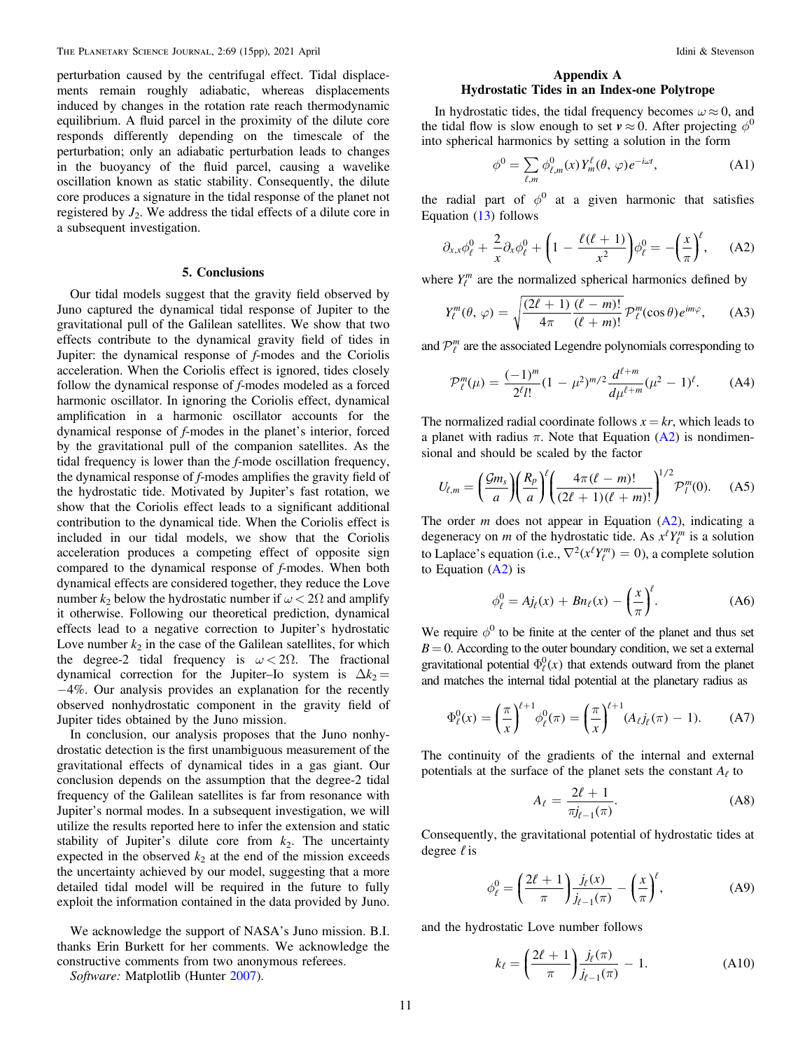<span id="page-10-0"></span>perturbation caused by the centrifugal effect. Tidal displacements remain roughly adiabatic, whereas displacements induced by changes in the rotation rate reach thermodynamic equilibrium. A fluid parcel in the proximity of the dilute core responds differently depending on the timescale of the perturbation; only an adiabatic perturbation leads to changes in the buoyancy of the fluid parcel, causing a wavelike oscillation known as static stability. Consequently, the dilute core produces a signature in the tidal response of the planet not registered by  $J_2$ . We address the tidal effects of a dilute core in a subsequent investigation.

#### 5. Conclusions

Our tidal models suggest that the gravity field observed by Juno captured the dynamical tidal response of Jupiter to the gravitational pull of the Galilean satellites. We show that two effects contribute to the dynamical gravity field of tides in Jupiter: the dynamical response of f-modes and the Coriolis acceleration. When the Coriolis effect is ignored, tides closely follow the dynamical response of f-modes modeled as a forced harmonic oscillator. In ignoring the Coriolis effect, dynamical amplification in a harmonic oscillator accounts for the dynamical response of f-modes in the planet's interior, forced by the gravitational pull of the companion satellites. As the tidal frequency is lower than the f-mode oscillation frequency, the dynamical response of f-modes amplifies the gravity field of the hydrostatic tide. Motivated by Jupiter's fast rotation, we show that the Coriolis effect leads to a significant additional contribution to the dynamical tide. When the Coriolis effect is included in our tidal models, we show that the Coriolis acceleration produces a competing effect of opposite sign compared to the dynamical response of f-modes. When both dynamical effects are considered together, they reduce the Love number  $k_2$  below the hydrostatic number if  $\omega < 2\Omega$  and amplify it otherwise. Following our theoretical prediction, dynamical effects lead to a negative correction to Jupiter's hydrostatic Love number  $k_2$  in the case of the Galilean satellites, for which the degree-2 tidal frequency is  $\omega < 2\Omega$ . The fractional dynamical correction for the Jupiter–Io system is  $\Delta k_2 =$ −4%. Our analysis provides an explanation for the recently observed nonhydrostatic component in the gravity field of Jupiter tides obtained by the Juno mission.

In conclusion, our analysis proposes that the Juno nonhydrostatic detection is the first unambiguous measurement of the gravitational effects of dynamical tides in a gas giant. Our conclusion depends on the assumption that the degree-2 tidal frequency of the Galilean satellites is far from resonance with Jupiter's normal modes. In a subsequent investigation, we will utilize the results reported here to infer the extension and static stability of Jupiter's dilute core from  $k_2$ . The uncertainty expected in the observed  $k_2$  at the end of the mission exceeds the uncertainty achieved by our model, suggesting that a more detailed tidal model will be required in the future to fully exploit the information contained in the data provided by Juno.

We acknowledge the support of NASA's Juno mission. B.I. thanks Erin Burkett for her comments. We acknowledge the constructive comments from two anonymous referees.

Software: Matplotlib (Hunter [2007](#page-14-0)).

## Appendix A Hydrostatic Tides in an Index-one Polytrope

In hydrostatic tides, the tidal frequency becomes  $\omega \approx 0$ , and the tidal flow is slow enough to set  $v \approx 0$ . After projecting  $\phi^0$ into spherical harmonics by setting a solution in the form

$$
\phi^0 = \sum_{\ell,m} \phi_{\ell,m}^0(x) Y_m^{\ell}(\theta, \varphi) e^{-i\omega t}, \tag{A1}
$$

the radial part of  $\phi^0$  at a given harmonic that satisfies Equation ([13](#page-3-0)) follows

$$
\partial_{x,x}\phi_{\ell}^0 + \frac{2}{x}\partial_x\phi_{\ell}^0 + \left(1 - \frac{\ell(\ell+1)}{x^2}\right)\phi_{\ell}^0 = -\left(\frac{x}{\pi}\right)^{\ell},\qquad\text{(A2)}
$$

where  $Y_\ell^m$  are the normalized spherical harmonics defined by

$$
Y_{\ell}^{m}(\theta, \varphi) = \sqrt{\frac{(2\ell+1)}{4\pi} \frac{(\ell-m)!}{(\ell+m)!}} \mathcal{P}_{\ell}^{m}(\cos\theta) e^{im\varphi}, \qquad (A3)
$$

and  $\mathcal{P}_{\ell}^m$  are the associated Legendre polynomials corresponding to

$$
\mathcal{P}_{\ell}^{m}(\mu) = \frac{(-1)^{m}}{2^{\ell}l!} (1 - \mu^{2})^{m/2} \frac{d^{\ell+m}}{d\mu^{\ell+m}} (\mu^{2} - 1)^{\ell}.
$$
 (A4)

The normalized radial coordinate follows  $x = kr$ , which leads to a planet with radius  $\pi$ . Note that Equation (A2) is nondimensional and should be scaled by the factor

$$
U_{\ell,m} = \left(\frac{\mathcal{G}m_s}{a}\right) \left(\frac{R_p}{a}\right)^{\ell} \left(\frac{4\pi(\ell-m)!}{(2\ell+1)(\ell+m)!}\right)^{1/2} \mathcal{P}_l^m(0). \tag{A5}
$$

The order *m* does not appear in Equation  $(A2)$ , indicating a degeneracy on *m* of the hydrostatic tide. As  $x^{\ell} Y_{\ell}^{m}$  is a solution to Laplace's equation (i.e.,  $\nabla^2(x^{\ell}Y_{\ell}^m) = 0$ ), a complete solution to Equation  $(A2)$  is

$$
\phi_{\ell}^{0} = Aj_{\ell}(x) + Bn_{\ell}(x) - \left(\frac{x}{\pi}\right)^{\ell}.
$$
 (A6)

We require  $\phi^0$  to be finite at the center of the planet and thus set  $B = 0$ . According to the outer boundary condition, we set a external gravitational potential  $\Phi_{\ell}^{0}(x)$  that extends outward from the planet and matches the internal tidal potential at the planetary radius as

$$
\Phi_{\ell}^{0}(x) = \left(\frac{\pi}{x}\right)^{\ell+1} \phi_{\ell}^{0}(\pi) = \left(\frac{\pi}{x}\right)^{\ell+1} (A_{\ell}j_{\ell}(\pi) - 1). \tag{A7}
$$

The continuity of the gradients of the internal and external potentials at the surface of the planet sets the constant  $A_\ell$  to

$$
A_{\ell} = \frac{2\ell + 1}{\pi j_{\ell - 1}(\pi)}.
$$
\n(A8)

Consequently, the gravitational potential of hydrostatic tides at degree  $\ell$  is

$$
\phi_{\ell}^{0} = \left(\frac{2\ell+1}{\pi}\right) \frac{j_{\ell}(x)}{j_{\ell-1}(\pi)} - \left(\frac{x}{\pi}\right)^{\ell},\tag{A9}
$$

and the hydrostatic Love number follows

$$
k_{\ell} = \left(\frac{2\ell+1}{\pi}\right) \frac{j_{\ell}(\pi)}{j_{\ell-1}(\pi)} - 1.
$$
 (A10)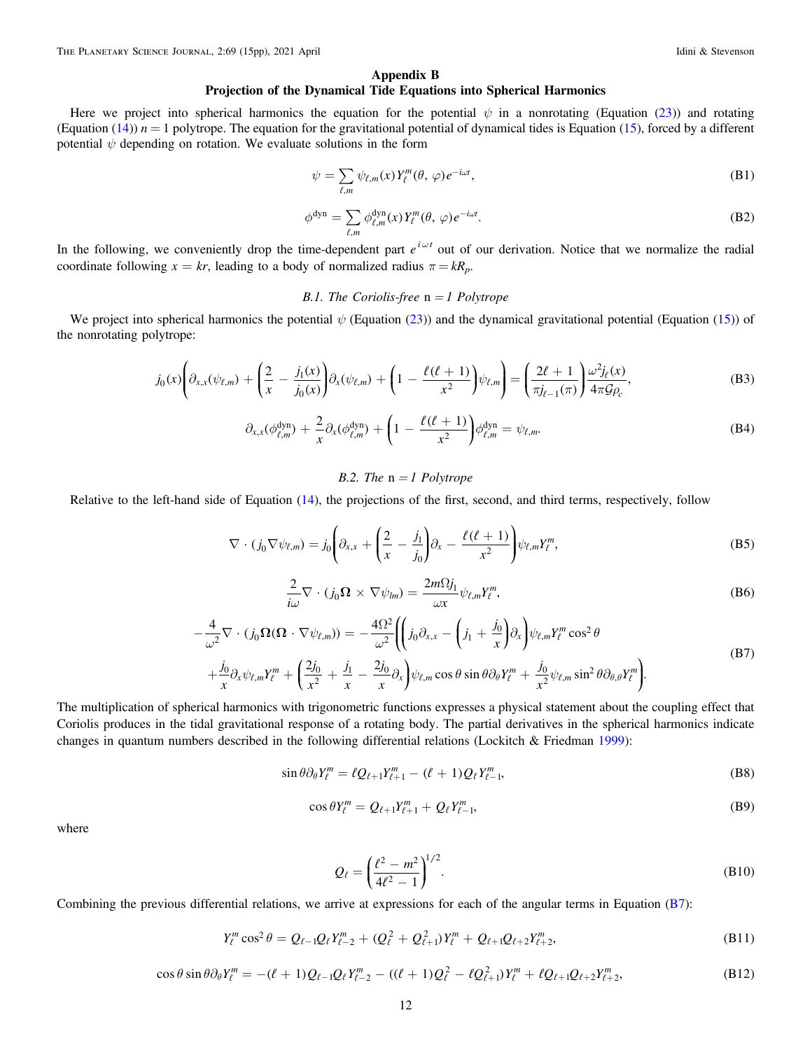#### Appendix B

# Projection of the Dynamical Tide Equations into Spherical Harmonics

<span id="page-11-0"></span>Here we project into spherical harmonics the equation for the potential  $\psi$  in a nonrotating (Equation ([23](#page-4-0))) and rotating (Equation ([14](#page-3-0)))  $n = 1$  polytrope. The equation for the gravitational potential of dynamical tides is Equation ([15](#page-3-0)), forced by a different potential  $\psi$  depending on rotation. We evaluate solutions in the form

$$
\psi = \sum_{\ell,m} \psi_{\ell,m}(x) Y_{\ell}^{m}(\theta, \varphi) e^{-i\omega t}, \tag{B1}
$$

$$
\phi^{\text{dyn}} = \sum_{\ell,m} \phi_{\ell,m}^{\text{dyn}}(x) Y_{\ell}^{m}(\theta, \varphi) e^{-i\omega t}.
$$
\n(B2)

In the following, we conveniently drop the time-dependent part  $e^{i\omega t}$  out of our derivation. Notice that we normalize the radial coordinate following  $x = kr$ , leading to a body of normalized radius  $\pi = kR_p$ .

## B.1. The Coriolis-free  $n = 1$  Polytrope

We project into spherical harmonics the potential  $\psi$  (Equation ([23](#page-4-0))) and the dynamical gravitational potential (Equation ([15](#page-3-0))) of the nonrotating polytrope:

$$
j_0(x)\left(\partial_{x,x}(\psi_{\ell,m}) + \left(\frac{2}{x} - \frac{j_1(x)}{j_0(x)}\right)\partial_x(\psi_{\ell,m}) + \left(1 - \frac{\ell(\ell+1)}{x^2}\right)\psi_{\ell,m}\right) = \left(\frac{2\ell+1}{\pi j_{\ell-1}(\pi)}\right)\frac{\omega^2 j_{\ell}(x)}{4\pi \mathcal{G} \rho_c},\tag{B3}
$$

$$
\partial_{x,x}(\phi_{\ell,m}^{\text{dyn}}) + \frac{2}{x}\partial_x(\phi_{\ell,m}^{\text{dyn}}) + \left(1 - \frac{\ell(\ell+1)}{x^2}\right)\phi_{\ell,m}^{\text{dyn}} = \psi_{\ell,m}.
$$
 (B4)

# B.2. The  $n = 1$  Polytrope

Relative to the left-hand side of Equation ([14](#page-3-0)), the projections of the first, second, and third terms, respectively, follow

$$
\nabla \cdot (j_0 \nabla \psi_{\ell,m}) = j_0 \left( \partial_{x,x} + \left( \frac{2}{x} - \frac{j_1}{j_0} \right) \partial_x - \frac{\ell(\ell+1)}{x^2} \right) \psi_{\ell,m} Y_{\ell}^m,
$$
\n(B5)

$$
\frac{2}{i\omega}\nabla \cdot (j_0 \Omega \times \nabla \psi_{lm}) = \frac{2m\Omega j_1}{\omega x} \psi_{\ell,m} Y_{\ell}^m,
$$
 (B6)

$$
-\frac{4}{\omega^2}\nabla \cdot (j_0 \Omega(\Omega \cdot \nabla \psi_{\ell,m})) = -\frac{4\Omega^2}{\omega^2} \left( \left( j_0 \partial_{x,x} - \left( j_1 + \frac{j_0}{x} \right) \partial_x \right) \psi_{\ell,m} Y_{\ell}^m \cos^2 \theta \right. \\
\left. + \frac{j_0}{x} \partial_x \psi_{\ell,m} Y_{\ell}^m + \left( \frac{2j_0}{x^2} + \frac{j_1}{x} - \frac{2j_0}{x} \partial_x \right) \psi_{\ell,m} \cos \theta \sin \theta \partial_\theta Y_{\ell}^m + \frac{j_0}{x^2} \psi_{\ell,m} \sin^2 \theta \partial_{\theta,\theta} Y_{\ell}^m \right).
$$
\n(B7)

The multiplication of spherical harmonics with trigonometric functions expresses a physical statement about the coupling effect that Coriolis produces in the tidal gravitational response of a rotating body. The partial derivatives in the spherical harmonics indicate changes in quantum numbers described in the following differential relations (Lockitch & Friedman [1999](#page-14-0)):

$$
\sin \theta \partial_{\theta} Y_{\ell}^{m} = \ell Q_{\ell+1} Y_{\ell+1}^{m} - (\ell+1) Q_{\ell} Y_{\ell-1}^{m}, \tag{B8}
$$

$$
\cos \theta Y_{\ell}^{m} = Q_{\ell+1} Y_{\ell+1}^{m} + Q_{\ell} Y_{\ell-1}^{m}, \tag{B9}
$$

where

$$
Q_{\ell} = \left(\frac{\ell^2 - m^2}{4\ell^2 - 1}\right)^{1/2}.
$$
 (B10)

Combining the previous differential relations, we arrive at expressions for each of the angular terms in Equation (B7):

$$
Y_{\ell}^{m} \cos^{2} \theta = Q_{\ell-1} Q_{\ell} Y_{\ell-2}^{m} + (Q_{\ell}^{2} + Q_{\ell+1}^{2}) Y_{\ell}^{m} + Q_{\ell+1} Q_{\ell+2} Y_{\ell+2}^{m}, \tag{B11}
$$

$$
\cos\theta\sin\theta\partial_{\theta}Y_{\ell}^{m} = -(\ell+1)Q_{\ell-1}Q_{\ell}Y_{\ell-2}^{m} - ((\ell+1)Q_{\ell}^{2} - \ell Q_{\ell+1}^{2})Y_{\ell}^{m} + \ell Q_{\ell+1}Q_{\ell+2}Y_{\ell+2}^{m},
$$
(B12)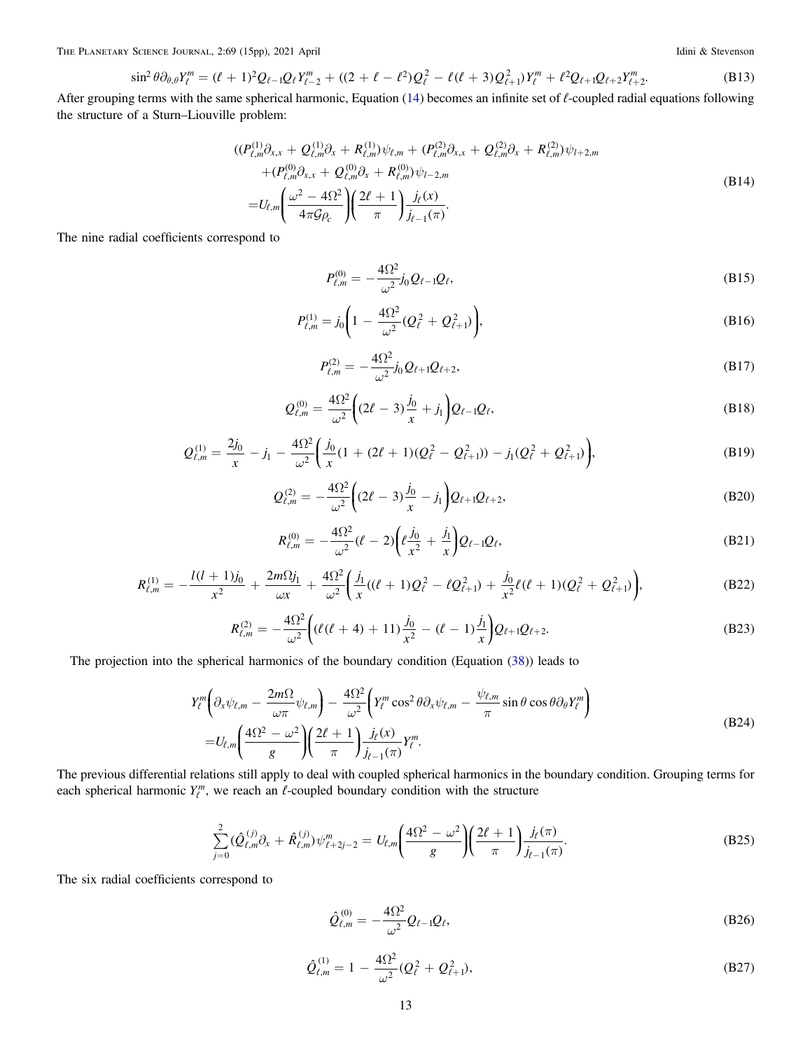<span id="page-12-0"></span>The PLANETARY SCIENCE JOURNAL, 2:69 (15pp), 2021 April **Idini & Stevenson** Idini & Stevenson

$$
\sin^2 \theta \partial_{\theta,\theta} Y_{\ell}^m = (\ell+1)^2 Q_{\ell-1} Q_{\ell} Y_{\ell-2}^m + ((2+\ell-\ell^2)Q_{\ell}^2 - \ell(\ell+3)Q_{\ell+1}^2) Y_{\ell}^m + \ell^2 Q_{\ell+1} Q_{\ell+2} Y_{\ell+2}^m. \tag{B13}
$$

After grouping terms with the same spherical harmonic, Equation ([14](#page-3-0)) becomes an infinite set of  $\ell$ -coupled radial equations following the structure of a Sturn–Liouville problem:

$$
\begin{split} &((P_{\ell,m}^{(1)}\partial_{x,x} + Q_{\ell,m}^{(1)}\partial_x + R_{\ell,m}^{(1)})\psi_{\ell,m} + (P_{\ell,m}^{(2)}\partial_{x,x} + Q_{\ell,m}^{(2)}\partial_x + R_{\ell,m}^{(2)})\psi_{l+2,m} \\ &+ (P_{\ell,m}^{(0)}\partial_{x,x} + Q_{\ell,m}^{(0)}\partial_x + R_{\ell,m}^{(0)})\psi_{l-2,m} \\ =& U_{\ell,m} \left(\frac{\omega^2 - 4\Omega^2}{4\pi\mathcal{G}\rho_c}\right) \left(\frac{2\ell+1}{\pi}\right) \frac{j_{\ell}(x)}{j_{\ell-1}(\pi)}. \end{split} \tag{B14}
$$

The nine radial coefficients correspond to

$$
P_{\ell,m}^{(0)} = -\frac{4\Omega^2}{\omega^2} j_0 Q_{\ell-1} Q_{\ell},\tag{B15}
$$

$$
P_{\ell,m}^{(1)} = j_0 \bigg( 1 - \frac{4\Omega^2}{\omega^2} (Q_\ell^2 + Q_{\ell+1}^2) \bigg), \tag{B16}
$$

$$
P_{\ell,m}^{(2)} = -\frac{4\Omega^2}{\omega^2} j_0 Q_{\ell+1} Q_{\ell+2},\tag{B17}
$$

$$
Q_{\ell,m}^{(0)} = \frac{4\Omega^2}{\omega^2} \bigg( (2\ell - 3) \frac{j_0}{x} + j_1 \bigg) Q_{\ell-1} Q_{\ell}, \tag{B18}
$$

$$
Q_{\ell,m}^{(1)} = \frac{2j_0}{x} - j_1 - \frac{4\Omega^2}{\omega^2} \bigg( \frac{j_0}{x} (1 + (2\ell + 1)(Q_{\ell}^2 - Q_{\ell+1}^2)) - j_1(Q_{\ell}^2 + Q_{\ell+1}^2) \bigg),\tag{B19}
$$

$$
Q_{\ell,m}^{(2)} = -\frac{4\Omega^2}{\omega^2} \left( (2\ell - 3) \frac{j_0}{x} - j_1 \right) Q_{\ell+1} Q_{\ell+2}, \tag{B20}
$$

$$
R_{\ell,m}^{(0)} = -\frac{4\Omega^2}{\omega^2} (\ell - 2) \bigg( \ell \frac{j_0}{x^2} + \frac{j_1}{x} \bigg) Q_{\ell - 1} Q_{\ell}, \tag{B21}
$$

$$
R_{\ell,m}^{(1)} = -\frac{l(l+1)j_0}{x^2} + \frac{2m\Omega j_1}{\omega x} + \frac{4\Omega^2}{\omega^2} \left( \frac{j_1}{x}((\ell+1)Q_{\ell}^2 - \ell Q_{\ell+1}^2) + \frac{j_0}{x^2}\ell(\ell+1)(Q_{\ell}^2 + Q_{\ell+1}^2) \right),
$$
(B22)

$$
R_{\ell,m}^{(2)} = -\frac{4\Omega^2}{\omega^2} \bigg( (\ell(\ell+4) + 11) \frac{j_0}{x^2} - (\ell-1) \frac{j_1}{x} \bigg) Q_{\ell+1} Q_{\ell+2}.
$$
 (B23)

The projection into the spherical harmonics of the boundary condition (Equation ([38](#page-6-0))) leads to

$$
Y_{\ell}^{m} \left( \partial_{x} \psi_{\ell,m} - \frac{2m\Omega}{\omega \pi} \psi_{\ell,m} \right) - \frac{4\Omega^{2}}{\omega^{2}} \left( Y_{\ell}^{m} \cos^{2} \theta \partial_{x} \psi_{\ell,m} - \frac{\psi_{\ell,m}}{\pi} \sin \theta \cos \theta \partial_{\theta} Y_{\ell}^{m} \right)
$$
  
=  $U_{\ell,m} \left( \frac{4\Omega^{2} - \omega^{2}}{g} \right) \left( \frac{2\ell + 1}{\pi} \right) \frac{j_{\ell}(x)}{j_{\ell-1}(\pi)} Y_{\ell}^{m}.$  (B24)

The previous differential relations still apply to deal with coupled spherical harmonics in the boundary condition. Grouping terms for each spherical harmonic  $Y_{\ell}^{m}$ , we reach an  $\ell$ -coupled boundary condition with the structure

$$
\sum_{j=0}^{2} (\hat{Q}_{\ell,m}^{(j)} \partial_x + \hat{R}_{\ell,m}^{(j)}) \psi_{\ell+2j-2}^m = U_{\ell,m} \left( \frac{4\Omega^2 - \omega^2}{g} \right) \left( \frac{2\ell+1}{\pi} \right) \frac{j_\ell(\pi)}{j_{\ell-1}(\pi)}.
$$
\n(B25)

The six radial coefficients correspond to

$$
\hat{Q}_{\ell,m}^{(0)} = -\frac{4\Omega^2}{\omega^2} Q_{\ell-1} Q_{\ell},\tag{B26}
$$

$$
\hat{Q}_{\ell,m}^{(1)} = 1 - \frac{4\Omega^2}{\omega^2} (Q_\ell^2 + Q_{\ell+1}^2),
$$
\n(B27)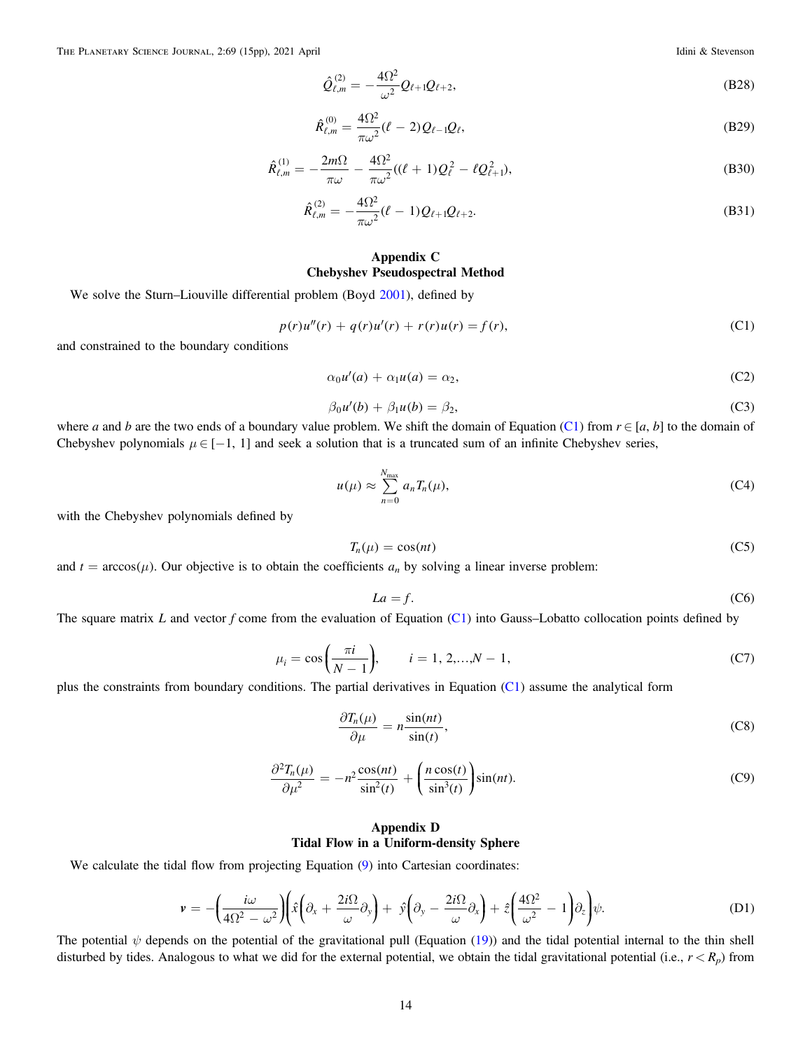<span id="page-13-0"></span>THE PLANETARY SCIENCE JOURNAL, 2:69 (15pp), 2021 April **Idini & Stevenson** Idini & Stevenson

$$
\hat{Q}_{\ell,m}^{(2)} = -\frac{4\Omega^2}{\omega^2} Q_{\ell+1} Q_{\ell+2},
$$
\n(B28)

$$
\hat{R}_{\ell,m}^{(0)} = \frac{4\Omega^2}{\pi\omega^2} (\ell - 2) Q_{\ell - 1} Q_{\ell},
$$
\n(B29)

$$
\hat{R}_{\ell,m}^{(1)} = -\frac{2m\Omega}{\pi\omega} - \frac{4\Omega^2}{\pi\omega^2}((\ell+1)Q_\ell^2 - \ell Q_{\ell+1}^2),
$$
\n(B30)

$$
\hat{R}_{\ell,m}^{(2)} = -\frac{4\Omega^2}{\pi\omega^2}(\ell-1)Q_{\ell+1}Q_{\ell+2}.
$$
\n(B31)

# Appendix C Chebyshev Pseudospectral Method

We solve the Sturn–Liouville differential problem (Boyd [2001](#page-14-0)), defined by

$$
p(r)u''(r) + q(r)u'(r) + r(r)u(r) = f(r),
$$
\n(C1)

and constrained to the boundary conditions

$$
\alpha_0 u'(a) + \alpha_1 u(a) = \alpha_2,\tag{C2}
$$

$$
\beta_0 u'(b) + \beta_1 u(b) = \beta_2,\tag{C3}
$$

where a and b are the two ends of a boundary value problem. We shift the domain of Equation (C1) from  $r \in [a, b]$  to the domain of Chebyshev polynomials  $\mu \in [-1, 1]$  and seek a solution that is a truncated sum of an infinite Chebyshev series,

$$
u(\mu) \approx \sum_{n=0}^{N_{\text{max}}} a_n T_n(\mu), \tag{C4}
$$

with the Chebyshev polynomials defined by

$$
T_n(\mu) = \cos(nt) \tag{C5}
$$

and  $t = \arccos(\mu)$ . Our objective is to obtain the coefficients  $a_n$  by solving a linear inverse problem:

$$
La = f. \tag{C6}
$$

The square matrix L and vector f come from the evaluation of Equation  $(C1)$  into Gauss–Lobatto collocation points defined by

$$
\mu_i = \cos\left(\frac{\pi i}{N-1}\right), \qquad i = 1, 2, ..., N-1,
$$
\n(C7)

plus the constraints from boundary conditions. The partial derivatives in Equation (C1) assume the analytical form

$$
\frac{\partial T_n(\mu)}{\partial \mu} = n \frac{\sin(nt)}{\sin(t)},\tag{C8}
$$

$$
\frac{\partial^2 T_n(\mu)}{\partial \mu^2} = -n^2 \frac{\cos(nt)}{\sin^2(t)} + \left(\frac{n \cos(t)}{\sin^3(t)}\right) \sin(nt). \tag{C9}
$$

# Appendix D Tidal Flow in a Uniform-density Sphere

We calculate the tidal flow from projecting Equation ([9](#page-2-0)) into Cartesian coordinates:

$$
\mathbf{v} = -\left(\frac{i\omega}{4\Omega^2 - \omega^2}\right) \left(\hat{x}\left(\partial_x + \frac{2i\Omega}{\omega}\partial_y\right) + \hat{y}\left(\partial_y - \frac{2i\Omega}{\omega}\partial_x\right) + \hat{z}\left(\frac{4\Omega^2}{\omega^2} - 1\right)\partial_z\right)\psi.
$$
 (D1)

The potential  $\psi$  depends on the potential of the gravitational pull (Equation ([19](#page-3-0))) and the tidal potential internal to the thin shell disturbed by tides. Analogous to what we did for the external potential, we obtain the tidal gravitational potential (i.e.,  $r < R_p$ ) from